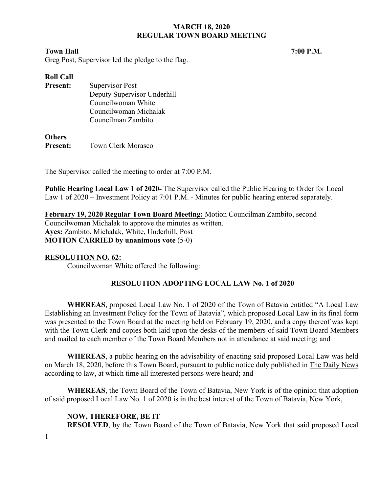## **Town Hall** 7:00 P.M.

Greg Post, Supervisor led the pledge to the flag.

| Supervisor Post             |
|-----------------------------|
| Deputy Supervisor Underhill |
| Councilwoman White          |
| Councilwoman Michalak       |
| Councilman Zambito          |
|                             |

# **Others**

**Present:** Town Clerk Morasco

The Supervisor called the meeting to order at 7:00 P.M.

**Public Hearing Local Law 1 of 2020-** The Supervisor called the Public Hearing to Order for Local Law 1 of 2020 – Investment Policy at 7:01 P.M. - Minutes for public hearing entered separately.

**February 19, 2020 Regular Town Board Meeting:** Motion Councilman Zambito, second Councilwoman Michalak to approve the minutes as written. **Ayes:** Zambito, Michalak, White, Underhill, Post **MOTION CARRIED by unanimous vote** (5-0)

# **RESOLUTION NO. 62:**

Councilwoman White offered the following:

# **RESOLUTION ADOPTING LOCAL LAW No. 1 of 2020**

**WHEREAS**, proposed Local Law No. 1 of 2020 of the Town of Batavia entitled "A Local Law Establishing an Investment Policy for the Town of Batavia", which proposed Local Law in its final form was presented to the Town Board at the meeting held on February 19, 2020, and a copy thereof was kept with the Town Clerk and copies both laid upon the desks of the members of said Town Board Members and mailed to each member of the Town Board Members not in attendance at said meeting; and

**WHEREAS**, a public hearing on the advisability of enacting said proposed Local Law was held on March 18, 2020, before this Town Board, pursuant to public notice duly published in The Daily News according to law, at which time all interested persons were heard; and

**WHEREAS**, the Town Board of the Town of Batavia, New York is of the opinion that adoption of said proposed Local Law No. 1 of 2020 is in the best interest of the Town of Batavia, New York,

# **NOW, THEREFORE, BE IT**

**RESOLVED**, by the Town Board of the Town of Batavia, New York that said proposed Local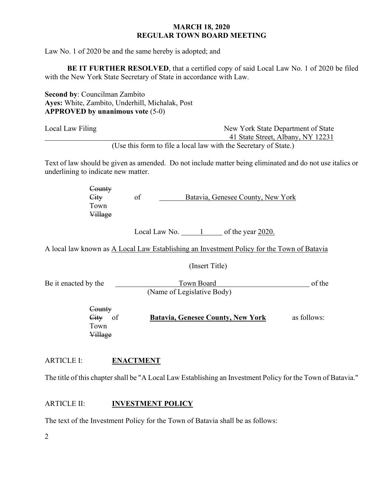Law No. 1 of 2020 be and the same hereby is adopted; and

**BE IT FURTHER RESOLVED**, that a certified copy of said Local Law No. 1 of 2020 be filed with the New York State Secretary of State in accordance with Law.

**Second by**: Councilman Zambito **Ayes:** White, Zambito, Underhill, Michalak, Post **APPROVED by unanimous vote** (5-0)

| Local Law Filing | New York State Department of State                               |
|------------------|------------------------------------------------------------------|
|                  | 41 State Street, Albany, NY 12231                                |
|                  | (Use this form to file a local law with the Secretary of State.) |

Text of law should be given as amended. Do not include matter being eliminated and do not use italics or underlining to indicate new matter.

| County                                |    |                                   |
|---------------------------------------|----|-----------------------------------|
| $\overline{C_{\mathbf{H}\mathbf{V}}}$ | of | Batavia, Genesee County, New York |
| Town                                  |    |                                   |
| Village                               |    |                                   |

Local Law No.  $\frac{1}{1}$  of the year 2020.

A local law known as A Local Law Establishing an Investment Policy for the Town of Batavia

(Insert Title)

Be it enacted by the Town Board Communication of the Town Board (Name of Legislative Body)

> **County**  City of **Batavia, Genesee County, New York** as follows: Town Village

# ARTICLE I: **ENACTMENT**

The title of this chapter shall be "A Local Law Establishing an Investment Policy for the Town of Batavia."

# ARTICLE II: **INVESTMENT POLICY**

The text of the Investment Policy for the Town of Batavia shall be as follows: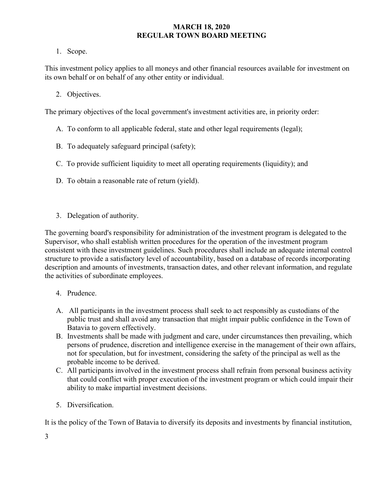1. Scope.

This investment policy applies to all moneys and other financial resources available for investment on its own behalf or on behalf of any other entity or individual.

2. Objectives.

The primary objectives of the local government's investment activities are, in priority order:

- A. To conform to all applicable federal, state and other legal requirements (legal);
- B. To adequately safeguard principal (safety);
- C. To provide sufficient liquidity to meet all operating requirements (liquidity); and
- D. To obtain a reasonable rate of return (yield).
- 3. Delegation of authority.

The governing board's responsibility for administration of the investment program is delegated to the Supervisor, who shall establish written procedures for the operation of the investment program consistent with these investment guidelines. Such procedures shall include an adequate internal control structure to provide a satisfactory level of accountability, based on a database of records incorporating description and amounts of investments, transaction dates, and other relevant information, and regulate the activities of subordinate employees.

- 4. Prudence.
- A. All participants in the investment process shall seek to act responsibly as custodians of the public trust and shall avoid any transaction that might impair public confidence in the Town of Batavia to govern effectively.
- B. Investments shall be made with judgment and care, under circumstances then prevailing, which persons of prudence, discretion and intelligence exercise in the management of their own affairs, not for speculation, but for investment, considering the safety of the principal as well as the probable income to be derived.
- C. All participants involved in the investment process shall refrain from personal business activity that could conflict with proper execution of the investment program or which could impair their ability to make impartial investment decisions.
- 5. Diversification.

It is the policy of the Town of Batavia to diversify its deposits and investments by financial institution,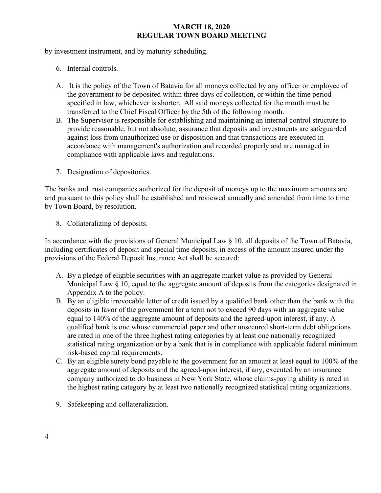by investment instrument, and by maturity scheduling.

- 6. Internal controls.
- A. It is the policy of the Town of Batavia for all moneys collected by any officer or employee of the government to be deposited within three days of collection, or within the time period specified in law, whichever is shorter. All said moneys collected for the month must be transferred to the Chief Fiscal Officer by the 5th of the following month.
- B. The Supervisor is responsible for establishing and maintaining an internal control structure to provide reasonable, but not absolute, assurance that deposits and investments are safeguarded against loss from unauthorized use or disposition and that transactions are executed in accordance with management's authorization and recorded properly and are managed in compliance with applicable laws and regulations.
- 7. Designation of depositories.

The banks and trust companies authorized for the deposit of moneys up to the maximum amounts are and pursuant to this policy shall be established and reviewed annually and amended from time to time by Town Board, by resolution.

8. Collateralizing of deposits.

In accordance with the provisions of General Municipal Law § 10, all deposits of the Town of Batavia, including certificates of deposit and special time deposits, in excess of the amount insured under the provisions of the Federal Deposit Insurance Act shall be secured:

- A. By a pledge of eligible securities with an aggregate market value as provided by General Municipal Law § 10, equal to the aggregate amount of deposits from the categories designated in Appendix A to the policy.
- B. By an eligible irrevocable letter of credit issued by a qualified bank other than the bank with the deposits in favor of the government for a term not to exceed 90 days with an aggregate value equal to 140% of the aggregate amount of deposits and the agreed-upon interest, if any. A qualified bank is one whose commercial paper and other unsecured short-term debt obligations are rated in one of the three highest rating categories by at least one nationally recognized statistical rating organization or by a bank that is in compliance with applicable federal minimum risk-based capital requirements.
- C. By an eligible surety bond payable to the government for an amount at least equal to 100% of the aggregate amount of deposits and the agreed-upon interest, if any, executed by an insurance company authorized to do business in New York State, whose claims-paying ability is rated in the highest rating category by at least two nationally recognized statistical rating organizations.
- 9. Safekeeping and collateralization.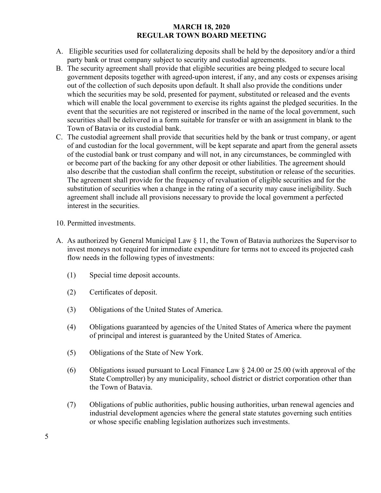- A. Eligible securities used for collateralizing deposits shall be held by the depository and/or a third party bank or trust company subject to security and custodial agreements.
- B. The security agreement shall provide that eligible securities are being pledged to secure local government deposits together with agreed-upon interest, if any, and any costs or expenses arising out of the collection of such deposits upon default. It shall also provide the conditions under which the securities may be sold, presented for payment, substituted or released and the events which will enable the local government to exercise its rights against the pledged securities. In the event that the securities are not registered or inscribed in the name of the local government, such securities shall be delivered in a form suitable for transfer or with an assignment in blank to the Town of Batavia or its custodial bank.
- C. The custodial agreement shall provide that securities held by the bank or trust company, or agent of and custodian for the local government, will be kept separate and apart from the general assets of the custodial bank or trust company and will not, in any circumstances, be commingled with or become part of the backing for any other deposit or other liabilities. The agreement should also describe that the custodian shall confirm the receipt, substitution or release of the securities. The agreement shall provide for the frequency of revaluation of eligible securities and for the substitution of securities when a change in the rating of a security may cause ineligibility. Such agreement shall include all provisions necessary to provide the local government a perfected interest in the securities.
- 10. Permitted investments.
- A. As authorized by General Municipal Law § 11, the Town of Batavia authorizes the Supervisor to invest moneys not required for immediate expenditure for terms not to exceed its projected cash flow needs in the following types of investments:
	- (1) Special time deposit accounts.
	- (2) Certificates of deposit.
	- (3) Obligations of the United States of America.
	- (4) Obligations guaranteed by agencies of the United States of America where the payment of principal and interest is guaranteed by the United States of America.
	- (5) Obligations of the State of New York.
	- (6) Obligations issued pursuant to Local Finance Law § 24.00 or 25.00 (with approval of the State Comptroller) by any municipality, school district or district corporation other than the Town of Batavia.
	- (7) Obligations of public authorities, public housing authorities, urban renewal agencies and industrial development agencies where the general state statutes governing such entities or whose specific enabling legislation authorizes such investments.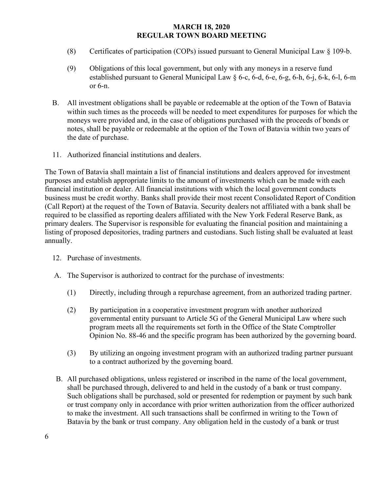- (8) Certificates of participation (COPs) issued pursuant to General Municipal Law § 109-b.
- (9) Obligations of this local government, but only with any moneys in a reserve fund established pursuant to General Municipal Law § 6-c, 6-d, 6-e, 6-g, 6-h, 6-j, 6-k, 6-l, 6-m or 6-n.
- B. All investment obligations shall be payable or redeemable at the option of the Town of Batavia within such times as the proceeds will be needed to meet expenditures for purposes for which the moneys were provided and, in the case of obligations purchased with the proceeds of bonds or notes, shall be payable or redeemable at the option of the Town of Batavia within two years of the date of purchase.
- 11. Authorized financial institutions and dealers.

The Town of Batavia shall maintain a list of financial institutions and dealers approved for investment purposes and establish appropriate limits to the amount of investments which can be made with each financial institution or dealer. All financial institutions with which the local government conducts business must be credit worthy. Banks shall provide their most recent Consolidated Report of Condition (Call Report) at the request of the Town of Batavia. Security dealers not affiliated with a bank shall be required to be classified as reporting dealers affiliated with the New York Federal Reserve Bank, as primary dealers. The Supervisor is responsible for evaluating the financial position and maintaining a listing of proposed depositories, trading partners and custodians. Such listing shall be evaluated at least annually.

- 12. Purchase of investments.
- A. The Supervisor is authorized to contract for the purchase of investments:
	- (1) Directly, including through a repurchase agreement, from an authorized trading partner.
	- (2) By participation in a cooperative investment program with another authorized governmental entity pursuant to Article 5G of the General Municipal Law where such program meets all the requirements set forth in the Office of the State Comptroller Opinion No. 88-46 and the specific program has been authorized by the governing board.
	- (3) By utilizing an ongoing investment program with an authorized trading partner pursuant to a contract authorized by the governing board.
- B. All purchased obligations, unless registered or inscribed in the name of the local government, shall be purchased through, delivered to and held in the custody of a bank or trust company. Such obligations shall be purchased, sold or presented for redemption or payment by such bank or trust company only in accordance with prior written authorization from the officer authorized to make the investment. All such transactions shall be confirmed in writing to the Town of Batavia by the bank or trust company. Any obligation held in the custody of a bank or trust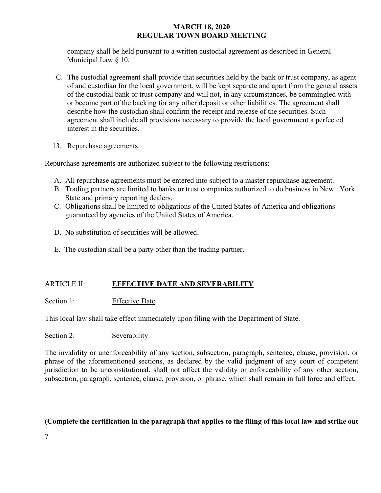company shall be held pursuant to a written custodial agreement as described in General Municipal Law § 10.

- C. The custodial agreement shall provide that securities held by the bank or trust company, as agent of and custodian for the local government, will be kept separate and apart from the general assets of the custodial bank or trust company and will not, in any circumstances, be commingled with or become part of the backing for any other deposit or other liabilities. The agreement shall describe how the custodian shall confirm the receipt and release of the securities. Such agreement shall include all provisions necessary to provide the local government a perfected interest in the securities.
- 13. Repurchase agreements.

Repurchase agreements are authorized subject to the following restrictions:

- A. All repurchase agreements must be entered into subject to a master repurchase agreement.
- B. Trading partners are limited to banks or trust companies authorized to do business in New York State and primary reporting dealers.
- C. Obligations shall be limited to obligations of the United States of America and obligations guaranteed by agencies of the United States of America.
- D. No substitution of securities will be allowed.
- E. The custodian shall be a party other than the trading partner.

# ARTICLE II: **EFFECTIVE DATE AND SEVERABILITY**

Section 1: Effective Date

This local law shall take effect immediately upon filing with the Department of State.

# Section 2: Severability

The invalidity or unenforceability of any section, subsection, paragraph, sentence, clause, provision, or phrase of the aforementioned sections, as declared by the valid judgment of any court of competent jurisdiction to be unconstitutional, shall not affect the validity or enforceability of any other section, subsection, paragraph, sentence, clause, provision, or phrase, which shall remain in full force and effect.

# **(Complete the certification in the paragraph that applies to the filing of this local law and strike out**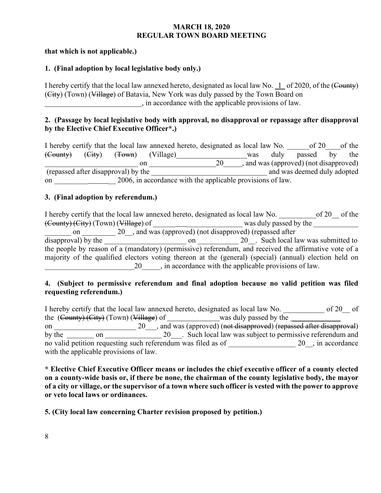# **that which is not applicable.)**

# **1. (Final adoption by local legislative body only.)**

I hereby certify that the local law annexed hereto, designated as local law No. 1 of 2020, of the (County) (City) (Town) (Village) of Batavia, New York was duly passed by the Town Board on \_\_\_\_\_\_\_\_\_\_\_\_\_\_\_\_\_\_\_\_\_\_\_\_\_\_, in accordance with the applicable provisions of law.

# **2. (Passage by local legislative body with approval, no disapproval or repassage after disapproval by the Elective Chief Executive Officer\*.)**

|                                |        |                                     |           | I hereby certify that the local law annexed hereto, designated as local law No. |     |      | of $20$                                |    | of the |
|--------------------------------|--------|-------------------------------------|-----------|---------------------------------------------------------------------------------|-----|------|----------------------------------------|----|--------|
| $\left(\frac{Count}{)}\right)$ | (Eity) | (T <sub>own</sub> )                 | (Village) |                                                                                 | was | duly | passed                                 | hv | the    |
|                                |        | on                                  |           | 20                                                                              |     |      | , and was (approved) (not disapproved) |    |        |
|                                |        | (repassed after disapproval) by the |           |                                                                                 |     |      | and was deemed duly adopted            |    |        |
| on                             |        |                                     |           | 2006, in accordance with the applicable provisions of law.                      |     |      |                                        |    |        |

# **3. (Final adoption by referendum.)**

I hereby certify that the local law annexed hereto, designated as local law No.  $10^{20}$  of the (County) (City) (Town) (Village) of \_\_\_\_\_\_ \_\_\_\_\_\_\_\_\_\_\_\_\_\_\_ was duly passed by the \_\_\_\_\_\_\_\_\_\_\_\_ on \_\_\_\_\_\_\_ 20\_, and was (approved) (not disapproved) (repassed after disapproval) by the \_\_\_\_\_\_\_\_\_\_\_\_\_\_\_\_\_\_\_\_\_\_ on \_\_\_\_\_\_\_\_\_\_\_ 20\_\_. Such local law was submitted to the people by reason of a (mandatory) (permissive) referendum, and received the affirmative vote of a majority of the qualified electors voting thereon at the (general) (special) (annual) election held on 20  $\ldots$ , in accordance with the applicable provisions of law.

# **4. (Subject to permissive referendum and final adoption because no valid petition was filed requesting referendum.)**

I hereby certify that the local law annexed hereto, designated as local law No. \_\_\_\_\_\_\_\_\_\_\_ of 20\_\_ of the (County) (City) (Town) (Village) of was duly passed by the \_\_\_\_\_\_\_\_\_\_\_\_\_ on \_\_\_\_\_\_\_\_\_\_\_\_\_\_\_\_\_\_\_\_\_\_ 20\_\_\_, and was (approved) (not disapproved) (repassed after disapproval) by the on 20\_\_\_. Such local law was subject to permissive referendum and no valid petition requesting such referendum was filed as of 20 , in accordance with the applicable provisions of law.

**\* Elective Chief Executive Officer means or includes the chief executive officer of a county elected on a county-wide basis or, if there be none, the chairman of the county legislative body, the mayor of a city or village, or the supervisor of a town where such officer is vested with the power to approve or veto local laws or ordinances.** 

**5. (City local law concerning Charter revision proposed by petition.)**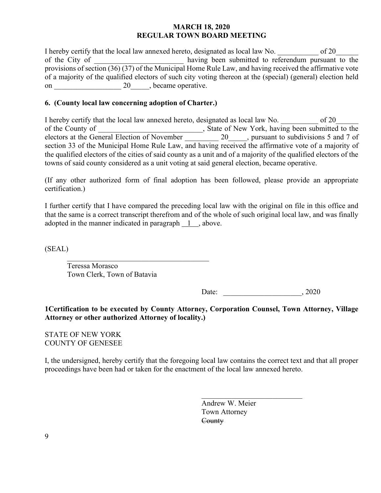I hereby certify that the local law annexed hereto, designated as local law No.  $\qquad \qquad$  of 20 of the City of  $\sim$  having been submitted to referendum pursuant to the provisions of section (36) (37) of the Municipal Home Rule Law, and having received the affirmative vote of a majority of the qualified electors of such city voting thereon at the (special) (general) election held on \_\_\_\_\_\_\_\_\_\_\_\_\_\_\_\_\_\_ 20\_\_\_\_\_, became operative.

# **6. (County local law concerning adoption of Charter.)**

I hereby certify that the local law annexed hereto, designated as local law No.  $\qquad \qquad$  of 20 of the County of \_\_\_\_\_\_\_\_\_\_\_\_\_\_\_\_\_\_\_, State of New York, having been submitted to the electors at the General Election of November 20  $\ldots$ , pursuant to subdivisions 5 and 7 of section 33 of the Municipal Home Rule Law, and having received the affirmative vote of a majority of the qualified electors of the cities of said county as a unit and of a majority of the qualified electors of the towns of said county considered as a unit voting at said general election, became operative.

(If any other authorized form of final adoption has been followed, please provide an appropriate certification.)

I further certify that I have compared the preceding local law with the original on file in this office and that the same is a correct transcript therefrom and of the whole of such original local law, and was finally adopted in the manner indicated in paragraph 1 , above.

(SEAL)

Teressa Morasco Town Clerk, Town of Batavia

Date: 2020

**1Certification to be executed by County Attorney, Corporation Counsel, Town Attorney, Village Attorney or other authorized Attorney of locality.)** 

STATE OF NEW YORK COUNTY OF GENESEE

I, the undersigned, hereby certify that the foregoing local law contains the correct text and that all proper proceedings have been had or taken for the enactment of the local law annexed hereto.

 $\mathcal{L}_\text{max}$  , and the contract of the contract of the contract of the contract of the contract of the contract of

 Andrew W. Meier Town Attorney **County**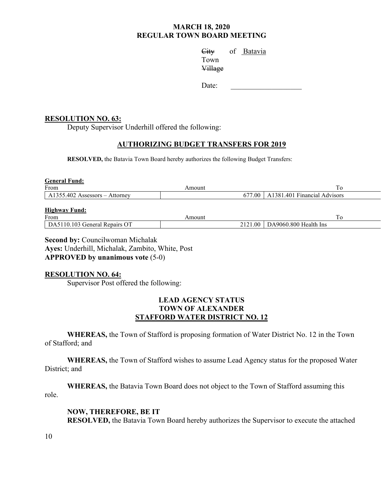City of Batavia Town Town Village

Date:

# **RESOLUTION NO. 63:**

Deputy Supervisor Underhill offered the following:

# **AUTHORIZING BUDGET TRANSFERS FOR 2019**

**RESOLVED,** the Batavia Town Board hereby authorizes the following Budget Transfers:

| <b>General Fund:</b>             |        |         |                                         |
|----------------------------------|--------|---------|-----------------------------------------|
| From                             | Amount |         | To                                      |
| $A1355.402$ Assessors – Attorney |        |         | $677.00$   A1381.401 Financial Advisors |
| <b>Highway Fund:</b><br>From     | Amount |         | To                                      |
| DA5110.103 General Repairs OT    |        | 2121.00 | DA9060.800 Health Ins                   |
|                                  |        |         |                                         |

**Second by: Councilwoman Michalak Ayes:** Underhill, Michalak, Zambito, White, Post **APPROVED by unanimous vote** (5-0)

# **RESOLUTION NO. 64:**

Supervisor Post offered the following:

# **LEAD AGENCY STATUS TOWN OF ALEXANDER STAFFORD WATER DISTRICT NO. 12**

**WHEREAS,** the Town of Stafford is proposing formation of Water District No. 12 in the Town of Stafford; and

**WHEREAS,** the Town of Stafford wishes to assume Lead Agency status for the proposed Water District; and

**WHEREAS,** the Batavia Town Board does not object to the Town of Stafford assuming this role.

# **NOW, THEREFORE, BE IT**

**RESOLVED,** the Batavia Town Board hereby authorizes the Supervisor to execute the attached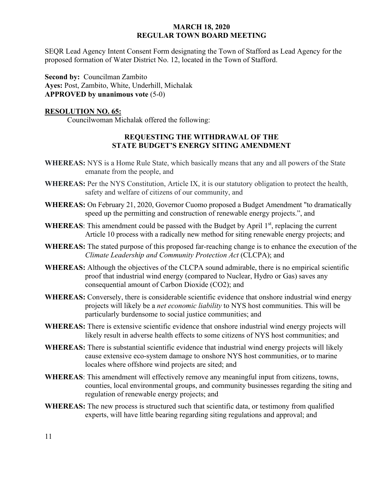SEQR Lead Agency Intent Consent Form designating the Town of Stafford as Lead Agency for the proposed formation of Water District No. 12, located in the Town of Stafford.

**Second by:** Councilman Zambito **Ayes:** Post, Zambito, White, Underhill, Michalak **APPROVED by unanimous vote** (5-0)

# **RESOLUTION NO. 65:**

Councilwoman Michalak offered the following:

# **REQUESTING THE WITHDRAWAL OF THE STATE BUDGET'S ENERGY SITING AMENDMENT**

- **WHEREAS:** NYS is a Home Rule State, which basically means that any and all powers of the State emanate from the people, and
- **WHEREAS:** Per the NYS Constitution, Article IX, it is our statutory obligation to protect the health, safety and welfare of citizens of our community, and
- **WHEREAS:** On February 21, 2020, Governor Cuomo proposed a Budget Amendment "to dramatically speed up the permitting and construction of renewable energy projects.", and
- WHEREAS: This amendment could be passed with the Budget by April 1<sup>st</sup>, replacing the current Article 10 process with a radically new method for siting renewable energy projects; and
- **WHEREAS:** The stated purpose of this proposed far-reaching change is to enhance the execution of the *Climate Leadership and Community Protection Act* (CLCPA); and
- **WHEREAS:** Although the objectives of the CLCPA sound admirable, there is no empirical scientific proof that industrial wind energy (compared to Nuclear, Hydro or Gas) saves any consequential amount of Carbon Dioxide (CO2); and
- **WHEREAS:** Conversely, there is considerable scientific evidence that onshore industrial wind energy projects will likely be a *net economic liability* to NYS host communities. This will be particularly burdensome to social justice communities; and
- **WHEREAS:** There is extensive scientific evidence that onshore industrial wind energy projects will likely result in adverse health effects to some citizens of NYS host communities; and
- **WHEREAS:** There is substantial scientific evidence that industrial wind energy projects will likely cause extensive eco-system damage to onshore NYS host communities, or to marine locales where offshore wind projects are sited; and
- **WHEREAS**: This amendment will effectively remove any meaningful input from citizens, towns, counties, local environmental groups, and community businesses regarding the siting and regulation of renewable energy projects; and
- **WHEREAS:** The new process is structured such that scientific data, or testimony from qualified experts, will have little bearing regarding siting regulations and approval; and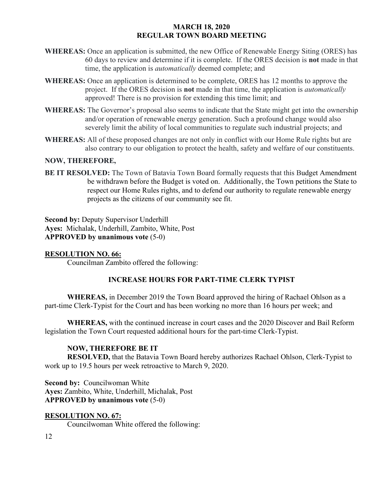- **WHEREAS:** Once an application is submitted, the new Office of Renewable Energy Siting (ORES) has 60 days to review and determine if it is complete. If the ORES decision is **not** made in that time, the application is *automatically* deemed complete; and
- **WHEREAS:** Once an application is determined to be complete, ORES has 12 months to approve the project. If the ORES decision is **not** made in that time, the application is *automatically* approved! There is no provision for extending this time limit; and
- **WHEREAS:** The Governor's proposal also seems to indicate that the State might get into the ownership and/or operation of renewable energy generation. Such a profound change would also severely limit the ability of local communities to regulate such industrial projects; and
- **WHEREAS:** All of these proposed changes are not only in conflict with our Home Rule rights but are also contrary to our obligation to protect the health, safety and welfare of our constituents.

# **NOW, THEREFORE,**

**BE IT RESOLVED:** The Town of Batavia Town Board formally requests that this Budget Amendment be withdrawn before the Budget is voted on. Additionally, the Town petitions the State to respect our Home Rules rights, and to defend our authority to regulate renewable energy projects as the citizens of our community see fit.

**Second by: Deputy Supervisor Underhill Ayes:** Michalak, Underhill, Zambito, White, Post **APPROVED by unanimous vote** (5-0)

# **RESOLUTION NO. 66:**

Councilman Zambito offered the following:

# **INCREASE HOURS FOR PART-TIME CLERK TYPIST**

**WHEREAS,** in December 2019 the Town Board approved the hiring of Rachael Ohlson as a part-time Clerk-Typist for the Court and has been working no more than 16 hours per week; and

**WHEREAS,** with the continued increase in court cases and the 2020 Discover and Bail Reform legislation the Town Court requested additional hours for the part-time Clerk-Typist.

# **NOW, THEREFORE BE IT**

**RESOLVED,** that the Batavia Town Board hereby authorizes Rachael Ohlson, Clerk-Typist to work up to 19.5 hours per week retroactive to March 9, 2020.

**Second by: Councilwoman White Ayes:** Zambito, White, Underhill, Michalak, Post **APPROVED by unanimous vote** (5-0)

# **RESOLUTION NO. 67:**

Councilwoman White offered the following: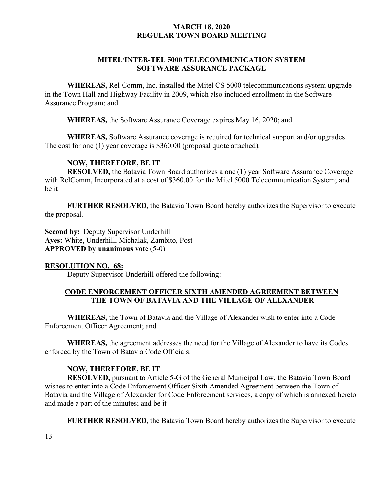# **MITEL/INTER-TEL 5000 TELECOMMUNICATION SYSTEM SOFTWARE ASSURANCE PACKAGE**

**WHEREAS,** Rel-Comm, Inc. installed the Mitel CS 5000 telecommunications system upgrade in the Town Hall and Highway Facility in 2009, which also included enrollment in the Software Assurance Program; and

**WHEREAS,** the Software Assurance Coverage expires May 16, 2020; and

**WHEREAS,** Software Assurance coverage is required for technical support and/or upgrades. The cost for one (1) year coverage is \$360.00 (proposal quote attached).

#### **NOW, THEREFORE, BE IT**

**RESOLVED,** the Batavia Town Board authorizes a one (1) year Software Assurance Coverage with RelComm, Incorporated at a cost of \$360.00 for the Mitel 5000 Telecommunication System; and be it

**FURTHER RESOLVED,** the Batavia Town Board hereby authorizes the Supervisor to execute the proposal.

**Second by:** Deputy Supervisor Underhill **Ayes:** White, Underhill, Michalak, Zambito, Post **APPROVED by unanimous vote** (5-0)

#### **RESOLUTION NO. 68:**

Deputy Supervisor Underhill offered the following:

# **CODE ENFORCEMENT OFFICER SIXTH AMENDED AGREEMENT BETWEEN THE TOWN OF BATAVIA AND THE VILLAGE OF ALEXANDER**

**WHEREAS,** the Town of Batavia and the Village of Alexander wish to enter into a Code Enforcement Officer Agreement; and

**WHEREAS,** the agreement addresses the need for the Village of Alexander to have its Codes enforced by the Town of Batavia Code Officials.

#### **NOW, THEREFORE, BE IT**

**RESOLVED,** pursuant to Article 5-G of the General Municipal Law, the Batavia Town Board wishes to enter into a Code Enforcement Officer Sixth Amended Agreement between the Town of Batavia and the Village of Alexander for Code Enforcement services, a copy of which is annexed hereto and made a part of the minutes; and be it

**FURTHER RESOLVED**, the Batavia Town Board hereby authorizes the Supervisor to execute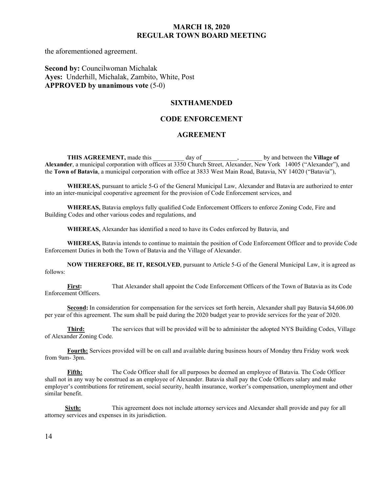the aforementioned agreement.

# **Second by:** Councilwoman Michalak **Ayes:** Underhill, Michalak, Zambito, White, Post **APPROVED by unanimous vote** (5-0)

#### **SIXTHAMENDED**

#### **CODE ENFORCEMENT**

#### **AGREEMENT**

**THIS AGREEMENT,** made this day of  $\qquad$ , by and between the **Village of Alexander**, a municipal corporation with offices at 3350 Church Street, Alexander, New York 14005 ("Alexander"), and the **Town of Batavia**, a municipal corporation with office at 3833 West Main Road, Batavia, NY 14020 ("Batavia"),

**WHEREAS,** pursuant to article 5-G of the General Municipal Law, Alexander and Batavia are authorized to enter into an inter-municipal cooperative agreement for the provision of Code Enforcement services, and

**WHEREAS,** Batavia employs fully qualified Code Enforcement Officers to enforce Zoning Code, Fire and Building Codes and other various codes and regulations, and

**WHEREAS,** Alexander has identified a need to have its Codes enforced by Batavia, and

**WHEREAS,** Batavia intends to continue to maintain the position of Code Enforcement Officer and to provide Code Enforcement Duties in both the Town of Batavia and the Village of Alexander.

**NOW THEREFORE, BE IT, RESOLVED**, pursuant to Article 5-G of the General Municipal Law, it is agreed as follows:

**First:** That Alexander shall appoint the Code Enforcement Officers of the Town of Batavia as its Code Enforcement Officers.

**Second:** In consideration for compensation for the services set forth herein, Alexander shall pay Batavia \$4,606.00 per year of this agreement. The sum shall be paid during the 2020 budget year to provide services for the year of 2020.

**Third:** The services that will be provided will be to administer the adopted NYS Building Codes, Village of Alexander Zoning Code.

**Fourth:** Services provided will be on call and available during business hours of Monday thru Friday work week from 9am- 3pm.

**Fifth:** The Code Officer shall for all purposes be deemed an employee of Batavia. The Code Officer shall not in any way be construed as an employee of Alexander. Batavia shall pay the Code Officers salary and make employer's contributions for retirement, social security, health insurance, worker's compensation, unemployment and other similar benefit.

**Sixth:** This agreement does not include attorney services and Alexander shall provide and pay for all attorney services and expenses in its jurisdiction.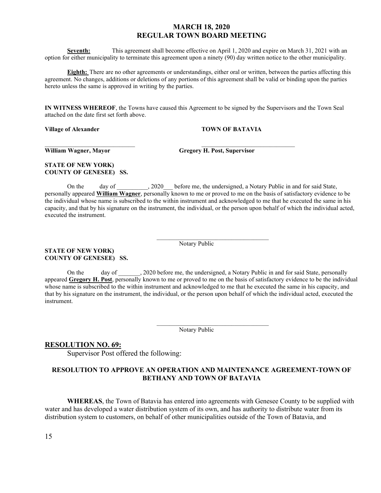**Seventh:** This agreement shall become effective on April 1, 2020 and expire on March 31, 2021 with an option for either municipality to terminate this agreement upon a ninety (90) day written notice to the other municipality.

**Eighth:** There are no other agreements or understandings, either oral or written, between the parties affecting this agreement. No changes, additions or deletions of any portions of this agreement shall be valid or binding upon the parties hereto unless the same is approved in writing by the parties.

**IN WITNESS WHEREOF**, the Towns have caused this Agreement to be signed by the Supervisors and the Town Seal attached on the date first set forth above.

 $\mathcal{L}_\text{max}$  , and the contribution of the contribution of the contribution of the contribution of the contribution of the contribution of the contribution of the contribution of the contribution of the contribution of t

 $\mathcal{L}_\text{max} = \mathcal{L}_\text{max} = \mathcal{L}_\text{max} = \mathcal{L}_\text{max} = \mathcal{L}_\text{max} = \mathcal{L}_\text{max} = \mathcal{L}_\text{max} = \mathcal{L}_\text{max} = \mathcal{L}_\text{max} = \mathcal{L}_\text{max} = \mathcal{L}_\text{max} = \mathcal{L}_\text{max} = \mathcal{L}_\text{max} = \mathcal{L}_\text{max} = \mathcal{L}_\text{max} = \mathcal{L}_\text{max} = \mathcal{L}_\text{max} = \mathcal{L}_\text{max} = \mathcal{$ 

 $\mathcal{L}_\text{max} = \mathcal{L}_\text{max} = \mathcal{L}_\text{max} = \mathcal{L}_\text{max} = \mathcal{L}_\text{max} = \mathcal{L}_\text{max} = \mathcal{L}_\text{max} = \mathcal{L}_\text{max} = \mathcal{L}_\text{max} = \mathcal{L}_\text{max} = \mathcal{L}_\text{max} = \mathcal{L}_\text{max} = \mathcal{L}_\text{max} = \mathcal{L}_\text{max} = \mathcal{L}_\text{max} = \mathcal{L}_\text{max} = \mathcal{L}_\text{max} = \mathcal{L}_\text{max} = \mathcal{$ 

**Village of Alexander TOWN OF BATAVIA** 

**STATE OF NEW YORK) COUNTY OF GENESEE) SS.**

**William Wagner, Mayor Gregory H. Post, Supervisor**

**STATE OF NEW YORK) COUNTY OF GENESEE) SS.**

On the day of 2020 before me, the undersigned, a Notary Public in and for said State, personally appeared **William Wagner**, personally known to me or proved to me on the basis of satisfactory evidence to be the individual whose name is subscribed to the within instrument and acknowledged to me that he executed the same in his capacity, and that by his signature on the instrument, the individual, or the person upon behalf of which the individual acted, executed the instrument.

Notary Public

On the day of \_\_\_\_\_\_\_, 2020 before me, the undersigned, a Notary Public in and for said State, personally appeared **Gregory H. Post**, personally known to me or proved to me on the basis of satisfactory evidence to be the individual whose name is subscribed to the within instrument and acknowledged to me that he executed the same in his capacity, and that by his signature on the instrument, the individual, or the person upon behalf of which the individual acted, executed the instrument.

Notary Public

#### **RESOLUTION NO. 69:**

Supervisor Post offered the following:

#### **RESOLUTION TO APPROVE AN OPERATION AND MAINTENANCE AGREEMENT-TOWN OF BETHANY AND TOWN OF BATAVIA**

**WHEREAS**, the Town of Batavia has entered into agreements with Genesee County to be supplied with water and has developed a water distribution system of its own, and has authority to distribute water from its distribution system to customers, on behalf of other municipalities outside of the Town of Batavia, and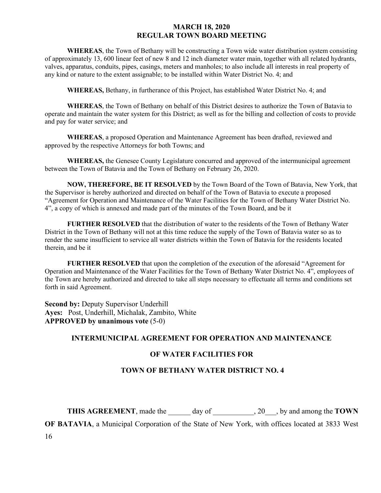**WHEREAS**, the Town of Bethany will be constructing a Town wide water distribution system consisting of approximately 13, 600 linear feet of new 8 and 12 inch diameter water main, together with all related hydrants, valves, apparatus, conduits, pipes, casings, meters and manholes; to also include all interests in real property of any kind or nature to the extent assignable; to be installed within Water District No. 4; and

**WHEREAS,** Bethany, in furtherance of this Project, has established Water District No. 4; and

**WHEREAS**, the Town of Bethany on behalf of this District desires to authorize the Town of Batavia to operate and maintain the water system for this District; as well as for the billing and collection of costs to provide and pay for water service; and

**WHEREAS**, a proposed Operation and Maintenance Agreement has been drafted, reviewed and approved by the respective Attorneys for both Towns; and

**WHEREAS,** the Genesee County Legislature concurred and approved of the intermunicipal agreement between the Town of Batavia and the Town of Bethany on February 26, 2020.

**NOW, THEREFORE, BE IT RESOLVED** by the Town Board of the Town of Batavia, New York, that the Supervisor is hereby authorized and directed on behalf of the Town of Batavia to execute a proposed "Agreement for Operation and Maintenance of the Water Facilities for the Town of Bethany Water District No. 4", a copy of which is annexed and made part of the minutes of the Town Board, and be it

**FURTHER RESOLVED** that the distribution of water to the residents of the Town of Bethany Water District in the Town of Bethany will not at this time reduce the supply of the Town of Batavia water so as to render the same insufficient to service all water districts within the Town of Batavia for the residents located therein, and be it

**FURTHER RESOLVED** that upon the completion of the execution of the aforesaid "Agreement for Operation and Maintenance of the Water Facilities for the Town of Bethany Water District No. 4", employees of the Town are hereby authorized and directed to take all steps necessary to effectuate all terms and conditions set forth in said Agreement.

**Second by:** Deputy Supervisor Underhill **Ayes:** Post, Underhill, Michalak, Zambito, White **APPROVED by unanimous vote** (5-0)

# **INTERMUNICIPAL AGREEMENT FOR OPERATION AND MAINTENANCE**

#### **OF WATER FACILITIES FOR**

# **TOWN OF BETHANY WATER DISTRICT NO. 4**

**THIS AGREEMENT**, made the day of  $\qquad$ , 20 , by and among the **TOWN** 

**OF BATAVIA**, a Municipal Corporation of the State of New York, with offices located at 3833 West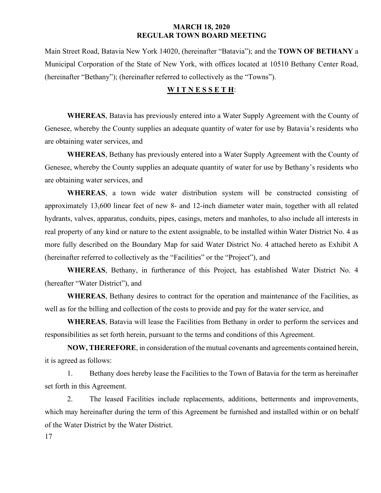Main Street Road, Batavia New York 14020, (hereinafter "Batavia"); and the **TOWN OF BETHANY** a Municipal Corporation of the State of New York, with offices located at 10510 Bethany Center Road, (hereinafter "Bethany"); (hereinafter referred to collectively as the "Towns").

## **W I T N E S S E T H**:

**WHEREAS**, Batavia has previously entered into a Water Supply Agreement with the County of Genesee, whereby the County supplies an adequate quantity of water for use by Batavia's residents who are obtaining water services, and

**WHEREAS**, Bethany has previously entered into a Water Supply Agreement with the County of Genesee, whereby the County supplies an adequate quantity of water for use by Bethany's residents who are obtaining water services, and

**WHEREAS**, a town wide water distribution system will be constructed consisting of approximately 13,600 linear feet of new 8- and 12-inch diameter water main, together with all related hydrants, valves, apparatus, conduits, pipes, casings, meters and manholes, to also include all interests in real property of any kind or nature to the extent assignable, to be installed within Water District No. 4 as more fully described on the Boundary Map for said Water District No. 4 attached hereto as Exhibit A (hereinafter referred to collectively as the "Facilities" or the "Project"), and

**WHEREAS**, Bethany, in furtherance of this Project, has established Water District No. 4 (hereafter "Water District"), and

**WHEREAS**, Bethany desires to contract for the operation and maintenance of the Facilities, as well as for the billing and collection of the costs to provide and pay for the water service, and

**WHEREAS**, Batavia will lease the Facilities from Bethany in order to perform the services and responsibilities as set forth herein, pursuant to the terms and conditions of this Agreement.

**NOW, THEREFORE**, in consideration of the mutual covenants and agreements contained herein, it is agreed as follows:

1. Bethany does hereby lease the Facilities to the Town of Batavia for the term as hereinafter set forth in this Agreement.

2. The leased Facilities include replacements, additions, betterments and improvements, which may hereinafter during the term of this Agreement be furnished and installed within or on behalf of the Water District by the Water District.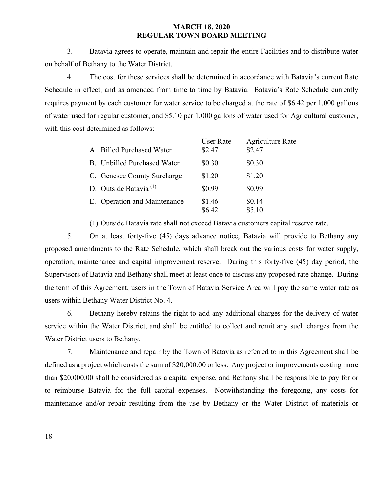3. Batavia agrees to operate, maintain and repair the entire Facilities and to distribute water on behalf of Bethany to the Water District.

4. The cost for these services shall be determined in accordance with Batavia's current Rate Schedule in effect, and as amended from time to time by Batavia. Batavia's Rate Schedule currently requires payment by each customer for water service to be charged at the rate of \$6.42 per 1,000 gallons of water used for regular customer, and \$5.10 per 1,000 gallons of water used for Agricultural customer, with this cost determined as follows:

|                                   | <b>User Rate</b> | <b>Agriculture Rate</b> |
|-----------------------------------|------------------|-------------------------|
| A. Billed Purchased Water         | \$2.47           | \$2.47                  |
| B. Unbilled Purchased Water       | \$0.30           | \$0.30                  |
| C. Genesee County Surcharge       | \$1.20           | \$1.20                  |
| D. Outside Batavia <sup>(1)</sup> | \$0.99           | \$0.99                  |
| E. Operation and Maintenance      | \$1.46           | \$0.14                  |
|                                   | \$6.42           | \$5.10                  |

(1) Outside Batavia rate shall not exceed Batavia customers capital reserve rate.

5. On at least forty-five (45) days advance notice, Batavia will provide to Bethany any proposed amendments to the Rate Schedule, which shall break out the various costs for water supply, operation, maintenance and capital improvement reserve. During this forty-five (45) day period, the Supervisors of Batavia and Bethany shall meet at least once to discuss any proposed rate change. During the term of this Agreement, users in the Town of Batavia Service Area will pay the same water rate as users within Bethany Water District No. 4.

6. Bethany hereby retains the right to add any additional charges for the delivery of water service within the Water District, and shall be entitled to collect and remit any such charges from the Water District users to Bethany.

7. Maintenance and repair by the Town of Batavia as referred to in this Agreement shall be defined as a project which costs the sum of \$20,000.00 or less. Any project or improvements costing more than \$20,000.00 shall be considered as a capital expense, and Bethany shall be responsible to pay for or to reimburse Batavia for the full capital expenses. Notwithstanding the foregoing, any costs for maintenance and/or repair resulting from the use by Bethany or the Water District of materials or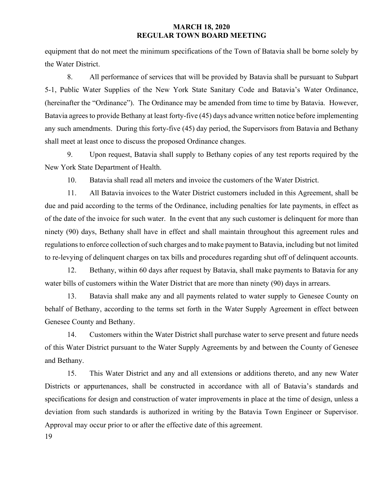equipment that do not meet the minimum specifications of the Town of Batavia shall be borne solely by the Water District.

8. All performance of services that will be provided by Batavia shall be pursuant to Subpart 5-1, Public Water Supplies of the New York State Sanitary Code and Batavia's Water Ordinance, (hereinafter the "Ordinance"). The Ordinance may be amended from time to time by Batavia. However, Batavia agrees to provide Bethany at least forty-five (45) days advance written notice before implementing any such amendments. During this forty-five (45) day period, the Supervisors from Batavia and Bethany shall meet at least once to discuss the proposed Ordinance changes.

9. Upon request, Batavia shall supply to Bethany copies of any test reports required by the New York State Department of Health.

10. Batavia shall read all meters and invoice the customers of the Water District.

11. All Batavia invoices to the Water District customers included in this Agreement, shall be due and paid according to the terms of the Ordinance, including penalties for late payments, in effect as of the date of the invoice for such water. In the event that any such customer is delinquent for more than ninety (90) days, Bethany shall have in effect and shall maintain throughout this agreement rules and regulations to enforce collection of such charges and to make payment to Batavia, including but not limited to re-levying of delinquent charges on tax bills and procedures regarding shut off of delinquent accounts.

12. Bethany, within 60 days after request by Batavia, shall make payments to Batavia for any water bills of customers within the Water District that are more than ninety (90) days in arrears.

13. Batavia shall make any and all payments related to water supply to Genesee County on behalf of Bethany, according to the terms set forth in the Water Supply Agreement in effect between Genesee County and Bethany.

14. Customers within the Water District shall purchase water to serve present and future needs of this Water District pursuant to the Water Supply Agreements by and between the County of Genesee and Bethany.

15. This Water District and any and all extensions or additions thereto, and any new Water Districts or appurtenances, shall be constructed in accordance with all of Batavia's standards and specifications for design and construction of water improvements in place at the time of design, unless a deviation from such standards is authorized in writing by the Batavia Town Engineer or Supervisor. Approval may occur prior to or after the effective date of this agreement.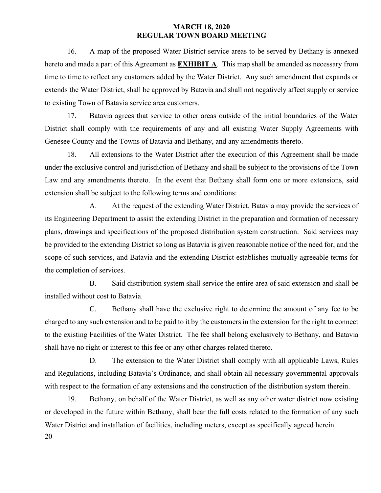16. A map of the proposed Water District service areas to be served by Bethany is annexed hereto and made a part of this Agreement as **EXHIBIT A**. This map shall be amended as necessary from time to time to reflect any customers added by the Water District. Any such amendment that expands or extends the Water District, shall be approved by Batavia and shall not negatively affect supply or service to existing Town of Batavia service area customers.

17. Batavia agrees that service to other areas outside of the initial boundaries of the Water District shall comply with the requirements of any and all existing Water Supply Agreements with Genesee County and the Towns of Batavia and Bethany, and any amendments thereto.

18. All extensions to the Water District after the execution of this Agreement shall be made under the exclusive control and jurisdiction of Bethany and shall be subject to the provisions of the Town Law and any amendments thereto. In the event that Bethany shall form one or more extensions, said extension shall be subject to the following terms and conditions:

A. At the request of the extending Water District, Batavia may provide the services of its Engineering Department to assist the extending District in the preparation and formation of necessary plans, drawings and specifications of the proposed distribution system construction. Said services may be provided to the extending District so long as Batavia is given reasonable notice of the need for, and the scope of such services, and Batavia and the extending District establishes mutually agreeable terms for the completion of services.

B. Said distribution system shall service the entire area of said extension and shall be installed without cost to Batavia.

C. Bethany shall have the exclusive right to determine the amount of any fee to be charged to any such extension and to be paid to it by the customers in the extension for the right to connect to the existing Facilities of the Water District. The fee shall belong exclusively to Bethany, and Batavia shall have no right or interest to this fee or any other charges related thereto.

D. The extension to the Water District shall comply with all applicable Laws, Rules and Regulations, including Batavia's Ordinance, and shall obtain all necessary governmental approvals with respect to the formation of any extensions and the construction of the distribution system therein.

20 19. Bethany, on behalf of the Water District, as well as any other water district now existing or developed in the future within Bethany, shall bear the full costs related to the formation of any such Water District and installation of facilities, including meters, except as specifically agreed herein.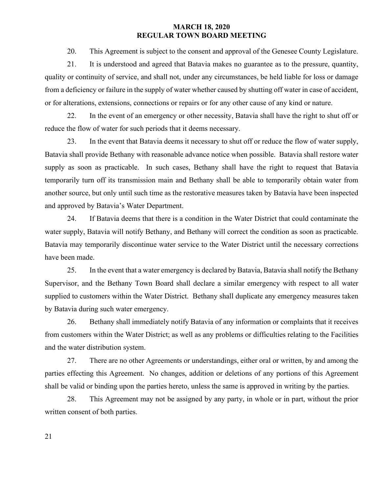20. This Agreement is subject to the consent and approval of the Genesee County Legislature.

21. It is understood and agreed that Batavia makes no guarantee as to the pressure, quantity, quality or continuity of service, and shall not, under any circumstances, be held liable for loss or damage from a deficiency or failure in the supply of water whether caused by shutting off water in case of accident, or for alterations, extensions, connections or repairs or for any other cause of any kind or nature.

22. In the event of an emergency or other necessity, Batavia shall have the right to shut off or reduce the flow of water for such periods that it deems necessary.

23. In the event that Batavia deems it necessary to shut off or reduce the flow of water supply, Batavia shall provide Bethany with reasonable advance notice when possible. Batavia shall restore water supply as soon as practicable. In such cases, Bethany shall have the right to request that Batavia temporarily turn off its transmission main and Bethany shall be able to temporarily obtain water from another source, but only until such time as the restorative measures taken by Batavia have been inspected and approved by Batavia's Water Department.

24. If Batavia deems that there is a condition in the Water District that could contaminate the water supply, Batavia will notify Bethany, and Bethany will correct the condition as soon as practicable. Batavia may temporarily discontinue water service to the Water District until the necessary corrections have been made.

25. In the event that a water emergency is declared by Batavia, Batavia shall notify the Bethany Supervisor, and the Bethany Town Board shall declare a similar emergency with respect to all water supplied to customers within the Water District. Bethany shall duplicate any emergency measures taken by Batavia during such water emergency.

26. Bethany shall immediately notify Batavia of any information or complaints that it receives from customers within the Water District; as well as any problems or difficulties relating to the Facilities and the water distribution system.

27. There are no other Agreements or understandings, either oral or written, by and among the parties effecting this Agreement. No changes, addition or deletions of any portions of this Agreement shall be valid or binding upon the parties hereto, unless the same is approved in writing by the parties.

28. This Agreement may not be assigned by any party, in whole or in part, without the prior written consent of both parties.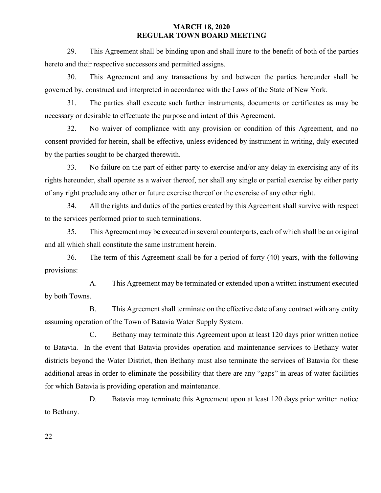29. This Agreement shall be binding upon and shall inure to the benefit of both of the parties hereto and their respective successors and permitted assigns.

30. This Agreement and any transactions by and between the parties hereunder shall be governed by, construed and interpreted in accordance with the Laws of the State of New York.

31. The parties shall execute such further instruments, documents or certificates as may be necessary or desirable to effectuate the purpose and intent of this Agreement.

32. No waiver of compliance with any provision or condition of this Agreement, and no consent provided for herein, shall be effective, unless evidenced by instrument in writing, duly executed by the parties sought to be charged therewith.

33. No failure on the part of either party to exercise and/or any delay in exercising any of its rights hereunder, shall operate as a waiver thereof, nor shall any single or partial exercise by either party of any right preclude any other or future exercise thereof or the exercise of any other right.

34. All the rights and duties of the parties created by this Agreement shall survive with respect to the services performed prior to such terminations.

35. This Agreement may be executed in several counterparts, each of which shall be an original and all which shall constitute the same instrument herein.

36. The term of this Agreement shall be for a period of forty (40) years, with the following provisions:

A. This Agreement may be terminated or extended upon a written instrument executed by both Towns.

B. This Agreement shall terminate on the effective date of any contract with any entity assuming operation of the Town of Batavia Water Supply System.

C. Bethany may terminate this Agreement upon at least 120 days prior written notice to Batavia. In the event that Batavia provides operation and maintenance services to Bethany water districts beyond the Water District, then Bethany must also terminate the services of Batavia for these additional areas in order to eliminate the possibility that there are any "gaps" in areas of water facilities for which Batavia is providing operation and maintenance.

D. Batavia may terminate this Agreement upon at least 120 days prior written notice to Bethany.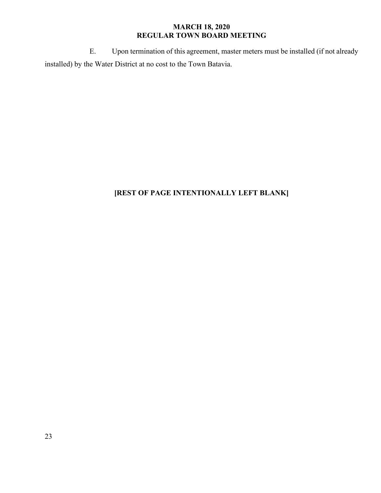E. Upon termination of this agreement, master meters must be installed (if not already installed) by the Water District at no cost to the Town Batavia.

# **[REST OF PAGE INTENTIONALLY LEFT BLANK]**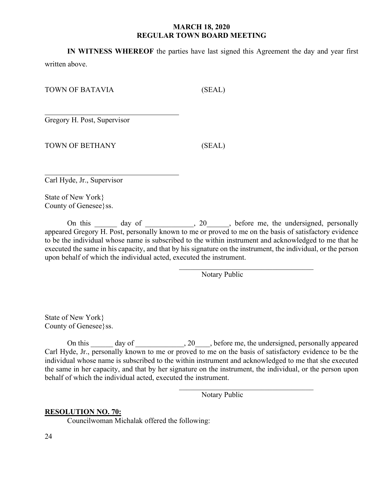**IN WITNESS WHEREOF** the parties have last signed this Agreement the day and year first

written above.

TOWN OF BATAVIA (SEAL)

 $\overline{a}$ Gregory H. Post, Supervisor

TOWN OF BETHANY (SEAL)

Carl Hyde, Jr., Supervisor

 $\overline{a}$ 

State of New York} County of Genesee}ss.

On this \_\_\_\_\_\_ day of \_\_\_\_\_\_\_\_\_, 20\_\_\_\_, before me, the undersigned, personally appeared Gregory H. Post, personally known to me or proved to me on the basis of satisfactory evidence to be the individual whose name is subscribed to the within instrument and acknowledged to me that he executed the same in his capacity, and that by his signature on the instrument, the individual, or the person upon behalf of which the individual acted, executed the instrument.

> $\overline{\phantom{a}}$ Notary Public

State of New York} County of Genesee}ss.

On this \_\_\_\_\_\_ day of \_\_\_\_\_\_\_\_\_\_\_, 20\_\_\_\_, before me, the undersigned, personally appeared Carl Hyde, Jr., personally known to me or proved to me on the basis of satisfactory evidence to be the individual whose name is subscribed to the within instrument and acknowledged to me that she executed the same in her capacity, and that by her signature on the instrument, the individual, or the person upon behalf of which the individual acted, executed the instrument.

Notary Public

 $\overline{\phantom{a}}$ 

# **RESOLUTION NO. 70:**

Councilwoman Michalak offered the following: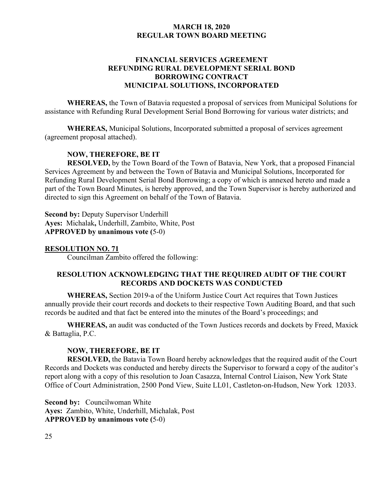# **FINANCIAL SERVICES AGREEMENT REFUNDING RURAL DEVELOPMENT SERIAL BOND BORROWING CONTRACT MUNICIPAL SOLUTIONS, INCORPORATED**

**WHEREAS,** the Town of Batavia requested a proposal of services from Municipal Solutions for assistance with Refunding Rural Development Serial Bond Borrowing for various water districts; and

**WHEREAS,** Municipal Solutions, Incorporated submitted a proposal of services agreement (agreement proposal attached).

# **NOW, THEREFORE, BE IT**

**RESOLVED,** by the Town Board of the Town of Batavia, New York, that a proposed Financial Services Agreement by and between the Town of Batavia and Municipal Solutions, Incorporated for Refunding Rural Development Serial Bond Borrowing; a copy of which is annexed hereto and made a part of the Town Board Minutes, is hereby approved, and the Town Supervisor is hereby authorized and directed to sign this Agreement on behalf of the Town of Batavia.

**Second by:** Deputy Supervisor Underhill **Ayes:** Michalak**,** Underhill, Zambito, White, Post **APPROVED by unanimous vote (**5-0)

#### **RESOLUTION NO. 71**

Councilman Zambito offered the following:

# **RESOLUTION ACKNOWLEDGING THAT THE REQUIRED AUDIT OF THE COURT RECORDS AND DOCKETS WAS CONDUCTED**

**WHEREAS,** Section 2019-a of the Uniform Justice Court Act requires that Town Justices annually provide their court records and dockets to their respective Town Auditing Board, and that such records be audited and that fact be entered into the minutes of the Board's proceedings; and

**WHEREAS,** an audit was conducted of the Town Justices records and dockets by Freed, Maxick & Battaglia, P.C.

#### **NOW, THEREFORE, BE IT**

**RESOLVED,** the Batavia Town Board hereby acknowledges that the required audit of the Court Records and Dockets was conducted and hereby directs the Supervisor to forward a copy of the auditor's report along with a copy of this resolution to Joan Casazza, Internal Control Liaison, New York State Office of Court Administration, 2500 Pond View, Suite LL01, Castleton-on-Hudson, New York 12033.

**Second by:** Councilwoman White **Ayes:** Zambito, White, Underhill, Michalak, Post **APPROVED by unanimous vote (**5-0)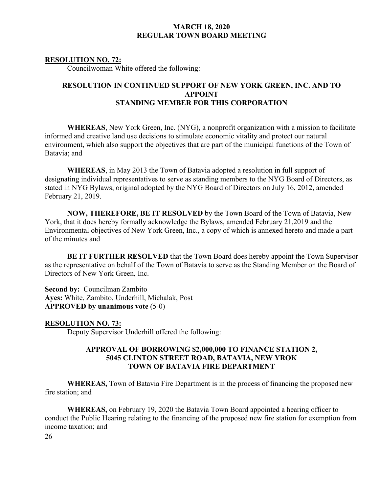# **RESOLUTION NO. 72:**

Councilwoman White offered the following:

# **RESOLUTION IN CONTINUED SUPPORT OF NEW YORK GREEN, INC. AND TO APPOINT STANDING MEMBER FOR THIS CORPORATION**

**WHEREAS**, New York Green, Inc. (NYG), a nonprofit organization with a mission to facilitate informed and creative land use decisions to stimulate economic vitality and protect our natural environment, which also support the objectives that are part of the municipal functions of the Town of Batavia; and

**WHEREAS**, in May 2013 the Town of Batavia adopted a resolution in full support of designating individual representatives to serve as standing members to the NYG Board of Directors, as stated in NYG Bylaws, original adopted by the NYG Board of Directors on July 16, 2012, amended February 21, 2019.

**NOW, THEREFORE, BE IT RESOLVED** by the Town Board of the Town of Batavia, New York, that it does hereby formally acknowledge the Bylaws, amended February 21,2019 and the Environmental objectives of New York Green, Inc., a copy of which is annexed hereto and made a part of the minutes and

**BE IT FURTHER RESOLVED** that the Town Board does hereby appoint the Town Supervisor as the representative on behalf of the Town of Batavia to serve as the Standing Member on the Board of Directors of New York Green, Inc.

**Second by:** Councilman Zambito **Ayes:** White, Zambito, Underhill, Michalak, Post **APPROVED by unanimous vote** (5-0)

**RESOLUTION NO. 73:** 

Deputy Supervisor Underhill offered the following:

# **APPROVAL OF BORROWING \$2,000,000 TO FINANCE STATION 2, 5045 CLINTON STREET ROAD, BATAVIA, NEW YROK TOWN OF BATAVIA FIRE DEPARTMENT**

**WHEREAS,** Town of Batavia Fire Department is in the process of financing the proposed new fire station; and

**WHEREAS,** on February 19, 2020 the Batavia Town Board appointed a hearing officer to conduct the Public Hearing relating to the financing of the proposed new fire station for exemption from income taxation; and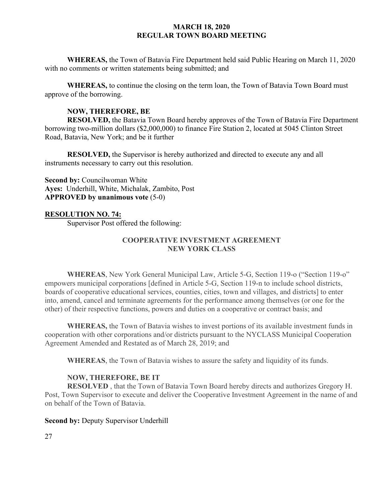**WHEREAS,** the Town of Batavia Fire Department held said Public Hearing on March 11, 2020 with no comments or written statements being submitted; and

**WHEREAS,** to continue the closing on the term loan, the Town of Batavia Town Board must approve of the borrowing.

# **NOW, THEREFORE, BE**

**RESOLVED,** the Batavia Town Board hereby approves of the Town of Batavia Fire Department borrowing two-million dollars (\$2,000,000) to finance Fire Station 2, located at 5045 Clinton Street Road, Batavia, New York; and be it further

**RESOLVED,** the Supervisor is hereby authorized and directed to execute any and all instruments necessary to carry out this resolution.

**Second by: Councilwoman White Ayes:** Underhill, White, Michalak, Zambito, Post **APPROVED by unanimous vote** (5-0)

# **RESOLUTION NO. 74:**

Supervisor Post offered the following:

# **COOPERATIVE INVESTMENT AGREEMENT NEW YORK CLASS**

**WHEREAS**, New York General Municipal Law, Article 5-G, Section 119-o ("Section 119-o" empowers municipal corporations [defined in Article 5-G, Section 119-n to include school districts, boards of cooperative educational services, counties, cities, town and villages, and districts] to enter into, amend, cancel and terminate agreements for the performance among themselves (or one for the other) of their respective functions, powers and duties on a cooperative or contract basis; and

**WHEREAS,** the Town of Batavia wishes to invest portions of its available investment funds in cooperation with other corporations and/or districts pursuant to the NYCLASS Municipal Cooperation Agreement Amended and Restated as of March 28, 2019; and

**WHEREAS**, the Town of Batavia wishes to assure the safety and liquidity of its funds.

# **NOW, THEREFORE, BE IT**

**RESOLVED** , that the Town of Batavia Town Board hereby directs and authorizes Gregory H. Post, Town Supervisor to execute and deliver the Cooperative Investment Agreement in the name of and on behalf of the Town of Batavia.

#### **Second by:** Deputy Supervisor Underhill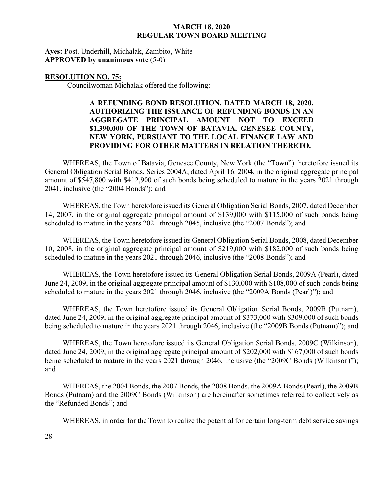**Ayes:** Post, Underhill, Michalak, Zambito, White **APPROVED by unanimous vote** (5-0)

#### **RESOLUTION NO. 75:**

Councilwoman Michalak offered the following:

# **A REFUNDING BOND RESOLUTION, DATED MARCH 18, 2020, AUTHORIZING THE ISSUANCE OF REFUNDING BONDS IN AN AGGREGATE PRINCIPAL AMOUNT NOT TO EXCEED \$1,390,000 OF THE TOWN OF BATAVIA, GENESEE COUNTY, NEW YORK, PURSUANT TO THE LOCAL FINANCE LAW AND PROVIDING FOR OTHER MATTERS IN RELATION THERETO.**

WHEREAS, the Town of Batavia, Genesee County, New York (the "Town") heretofore issued its General Obligation Serial Bonds, Series 2004A, dated April 16, 2004, in the original aggregate principal amount of \$547,800 with \$412,900 of such bonds being scheduled to mature in the years 2021 through 2041, inclusive (the "2004 Bonds"); and

WHEREAS, the Town heretofore issued its General Obligation Serial Bonds, 2007, dated December 14, 2007, in the original aggregate principal amount of \$139,000 with \$115,000 of such bonds being scheduled to mature in the years 2021 through 2045, inclusive (the "2007 Bonds"); and

WHEREAS, the Town heretofore issued its General Obligation Serial Bonds, 2008, dated December 10, 2008, in the original aggregate principal amount of \$219,000 with \$182,000 of such bonds being scheduled to mature in the years 2021 through 2046, inclusive (the "2008 Bonds"); and

WHEREAS, the Town heretofore issued its General Obligation Serial Bonds, 2009A (Pearl), dated June 24, 2009, in the original aggregate principal amount of \$130,000 with \$108,000 of such bonds being scheduled to mature in the years 2021 through 2046, inclusive (the "2009A Bonds (Pearl)"); and

WHEREAS, the Town heretofore issued its General Obligation Serial Bonds, 2009B (Putnam), dated June 24, 2009, in the original aggregate principal amount of \$373,000 with \$309,000 of such bonds being scheduled to mature in the years 2021 through 2046, inclusive (the "2009B Bonds (Putnam)"); and

WHEREAS, the Town heretofore issued its General Obligation Serial Bonds, 2009C (Wilkinson), dated June 24, 2009, in the original aggregate principal amount of \$202,000 with \$167,000 of such bonds being scheduled to mature in the years 2021 through 2046, inclusive (the "2009C Bonds (Wilkinson)"); and

WHEREAS, the 2004 Bonds, the 2007 Bonds, the 2008 Bonds, the 2009A Bonds (Pearl), the 2009B Bonds (Putnam) and the 2009C Bonds (Wilkinson) are hereinafter sometimes referred to collectively as the "Refunded Bonds"; and

WHEREAS, in order for the Town to realize the potential for certain long-term debt service savings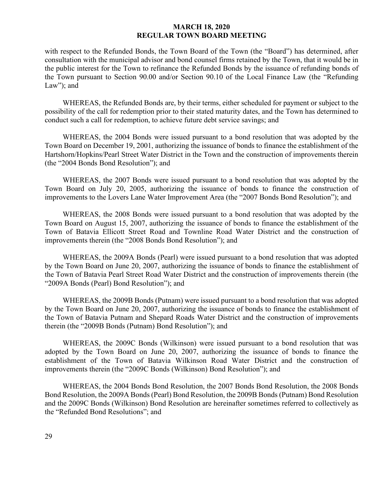with respect to the Refunded Bonds, the Town Board of the Town (the "Board") has determined, after consultation with the municipal advisor and bond counsel firms retained by the Town, that it would be in the public interest for the Town to refinance the Refunded Bonds by the issuance of refunding bonds of the Town pursuant to Section 90.00 and/or Section 90.10 of the Local Finance Law (the "Refunding Law"; and

WHEREAS, the Refunded Bonds are, by their terms, either scheduled for payment or subject to the possibility of the call for redemption prior to their stated maturity dates, and the Town has determined to conduct such a call for redemption, to achieve future debt service savings; and

WHEREAS, the 2004 Bonds were issued pursuant to a bond resolution that was adopted by the Town Board on December 19, 2001, authorizing the issuance of bonds to finance the establishment of the Hartshorn/Hopkins/Pearl Street Water District in the Town and the construction of improvements therein (the "2004 Bonds Bond Resolution"); and

WHEREAS, the 2007 Bonds were issued pursuant to a bond resolution that was adopted by the Town Board on July 20, 2005, authorizing the issuance of bonds to finance the construction of improvements to the Lovers Lane Water Improvement Area (the "2007 Bonds Bond Resolution"); and

WHEREAS, the 2008 Bonds were issued pursuant to a bond resolution that was adopted by the Town Board on August 15, 2007, authorizing the issuance of bonds to finance the establishment of the Town of Batavia Ellicott Street Road and Townline Road Water District and the construction of improvements therein (the "2008 Bonds Bond Resolution"); and

WHEREAS, the 2009A Bonds (Pearl) were issued pursuant to a bond resolution that was adopted by the Town Board on June 20, 2007, authorizing the issuance of bonds to finance the establishment of the Town of Batavia Pearl Street Road Water District and the construction of improvements therein (the "2009A Bonds (Pearl) Bond Resolution"); and

WHEREAS, the 2009B Bonds (Putnam) were issued pursuant to a bond resolution that was adopted by the Town Board on June 20, 2007, authorizing the issuance of bonds to finance the establishment of the Town of Batavia Putnam and Shepard Roads Water District and the construction of improvements therein (the "2009B Bonds (Putnam) Bond Resolution"); and

WHEREAS, the 2009C Bonds (Wilkinson) were issued pursuant to a bond resolution that was adopted by the Town Board on June 20, 2007, authorizing the issuance of bonds to finance the establishment of the Town of Batavia Wilkinson Road Water District and the construction of improvements therein (the "2009C Bonds (Wilkinson) Bond Resolution"); and

WHEREAS, the 2004 Bonds Bond Resolution, the 2007 Bonds Bond Resolution, the 2008 Bonds Bond Resolution, the 2009A Bonds (Pearl) Bond Resolution, the 2009B Bonds (Putnam) Bond Resolution and the 2009C Bonds (Wilkinson) Bond Resolution are hereinafter sometimes referred to collectively as the "Refunded Bond Resolutions"; and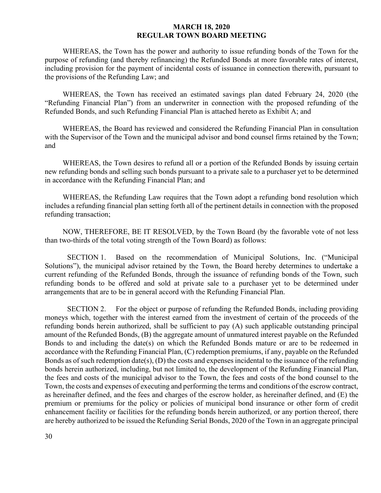WHEREAS, the Town has the power and authority to issue refunding bonds of the Town for the purpose of refunding (and thereby refinancing) the Refunded Bonds at more favorable rates of interest, including provision for the payment of incidental costs of issuance in connection therewith, pursuant to the provisions of the Refunding Law; and

WHEREAS, the Town has received an estimated savings plan dated February 24, 2020 (the "Refunding Financial Plan") from an underwriter in connection with the proposed refunding of the Refunded Bonds, and such Refunding Financial Plan is attached hereto as Exhibit A; and

WHEREAS, the Board has reviewed and considered the Refunding Financial Plan in consultation with the Supervisor of the Town and the municipal advisor and bond counsel firms retained by the Town; and

WHEREAS, the Town desires to refund all or a portion of the Refunded Bonds by issuing certain new refunding bonds and selling such bonds pursuant to a private sale to a purchaser yet to be determined in accordance with the Refunding Financial Plan; and

WHEREAS, the Refunding Law requires that the Town adopt a refunding bond resolution which includes a refunding financial plan setting forth all of the pertinent details in connection with the proposed refunding transaction;

NOW, THEREFORE, BE IT RESOLVED, by the Town Board (by the favorable vote of not less than two-thirds of the total voting strength of the Town Board) as follows:

SECTION 1. Based on the recommendation of Municipal Solutions, Inc. ("Municipal Solutions"), the municipal advisor retained by the Town, the Board hereby determines to undertake a current refunding of the Refunded Bonds, through the issuance of refunding bonds of the Town, such refunding bonds to be offered and sold at private sale to a purchaser yet to be determined under arrangements that are to be in general accord with the Refunding Financial Plan.

SECTION 2. For the object or purpose of refunding the Refunded Bonds, including providing moneys which, together with the interest earned from the investment of certain of the proceeds of the refunding bonds herein authorized, shall be sufficient to pay (A) such applicable outstanding principal amount of the Refunded Bonds, (B) the aggregate amount of unmatured interest payable on the Refunded Bonds to and including the date(s) on which the Refunded Bonds mature or are to be redeemed in accordance with the Refunding Financial Plan, (C) redemption premiums, if any, payable on the Refunded Bonds as of such redemption date(s), (D) the costs and expenses incidental to the issuance of the refunding bonds herein authorized, including, but not limited to, the development of the Refunding Financial Plan, the fees and costs of the municipal advisor to the Town, the fees and costs of the bond counsel to the Town, the costs and expenses of executing and performing the terms and conditions of the escrow contract, as hereinafter defined, and the fees and charges of the escrow holder, as hereinafter defined, and (E) the premium or premiums for the policy or policies of municipal bond insurance or other form of credit enhancement facility or facilities for the refunding bonds herein authorized, or any portion thereof, there are hereby authorized to be issued the Refunding Serial Bonds, 2020 of the Town in an aggregate principal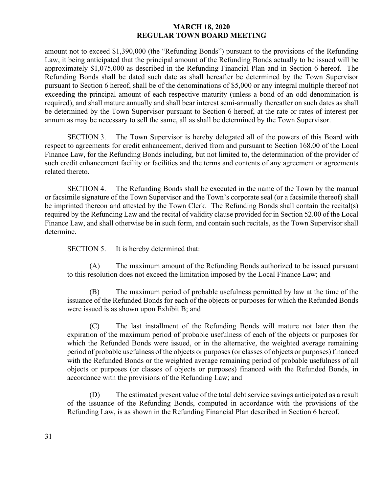amount not to exceed \$1,390,000 (the "Refunding Bonds") pursuant to the provisions of the Refunding Law, it being anticipated that the principal amount of the Refunding Bonds actually to be issued will be approximately \$1,075,000 as described in the Refunding Financial Plan and in Section 6 hereof. The Refunding Bonds shall be dated such date as shall hereafter be determined by the Town Supervisor pursuant to Section 6 hereof, shall be of the denominations of \$5,000 or any integral multiple thereof not exceeding the principal amount of each respective maturity (unless a bond of an odd denomination is required), and shall mature annually and shall bear interest semi-annually thereafter on such dates as shall be determined by the Town Supervisor pursuant to Section 6 hereof, at the rate or rates of interest per annum as may be necessary to sell the same, all as shall be determined by the Town Supervisor.

SECTION 3. The Town Supervisor is hereby delegated all of the powers of this Board with respect to agreements for credit enhancement, derived from and pursuant to Section 168.00 of the Local Finance Law, for the Refunding Bonds including, but not limited to, the determination of the provider of such credit enhancement facility or facilities and the terms and contents of any agreement or agreements related thereto.

SECTION 4. The Refunding Bonds shall be executed in the name of the Town by the manual or facsimile signature of the Town Supervisor and the Town's corporate seal (or a facsimile thereof) shall be imprinted thereon and attested by the Town Clerk. The Refunding Bonds shall contain the recital(s) required by the Refunding Law and the recital of validity clause provided for in Section 52.00 of the Local Finance Law, and shall otherwise be in such form, and contain such recitals, as the Town Supervisor shall determine.

SECTION 5. It is hereby determined that:

(A) The maximum amount of the Refunding Bonds authorized to be issued pursuant to this resolution does not exceed the limitation imposed by the Local Finance Law; and

(B) The maximum period of probable usefulness permitted by law at the time of the issuance of the Refunded Bonds for each of the objects or purposes for which the Refunded Bonds were issued is as shown upon Exhibit B; and

(C) The last installment of the Refunding Bonds will mature not later than the expiration of the maximum period of probable usefulness of each of the objects or purposes for which the Refunded Bonds were issued, or in the alternative, the weighted average remaining period of probable usefulness of the objects or purposes (or classes of objects or purposes) financed with the Refunded Bonds or the weighted average remaining period of probable usefulness of all objects or purposes (or classes of objects or purposes) financed with the Refunded Bonds, in accordance with the provisions of the Refunding Law; and

(D) The estimated present value of the total debt service savings anticipated as a result of the issuance of the Refunding Bonds, computed in accordance with the provisions of the Refunding Law, is as shown in the Refunding Financial Plan described in Section 6 hereof.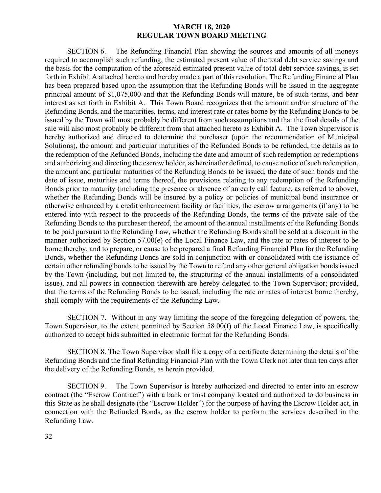SECTION 6. The Refunding Financial Plan showing the sources and amounts of all moneys required to accomplish such refunding, the estimated present value of the total debt service savings and the basis for the computation of the aforesaid estimated present value of total debt service savings, is set forth in Exhibit A attached hereto and hereby made a part of this resolution. The Refunding Financial Plan has been prepared based upon the assumption that the Refunding Bonds will be issued in the aggregate principal amount of \$1,075,000 and that the Refunding Bonds will mature, be of such terms, and bear interest as set forth in Exhibit A. This Town Board recognizes that the amount and/or structure of the Refunding Bonds, and the maturities, terms, and interest rate or rates borne by the Refunding Bonds to be issued by the Town will most probably be different from such assumptions and that the final details of the sale will also most probably be different from that attached hereto as Exhibit A. The Town Supervisor is hereby authorized and directed to determine the purchaser (upon the recommendation of Municipal Solutions), the amount and particular maturities of the Refunded Bonds to be refunded, the details as to the redemption of the Refunded Bonds, including the date and amount of such redemption or redemptions and authorizing and directing the escrow holder, as hereinafter defined, to cause notice of such redemption, the amount and particular maturities of the Refunding Bonds to be issued, the date of such bonds and the date of issue, maturities and terms thereof, the provisions relating to any redemption of the Refunding Bonds prior to maturity (including the presence or absence of an early call feature, as referred to above), whether the Refunding Bonds will be insured by a policy or policies of municipal bond insurance or otherwise enhanced by a credit enhancement facility or facilities, the escrow arrangements (if any) to be entered into with respect to the proceeds of the Refunding Bonds, the terms of the private sale of the Refunding Bonds to the purchaser thereof, the amount of the annual installments of the Refunding Bonds to be paid pursuant to the Refunding Law, whether the Refunding Bonds shall be sold at a discount in the manner authorized by Section 57.00(e) of the Local Finance Law, and the rate or rates of interest to be borne thereby, and to prepare, or cause to be prepared a final Refunding Financial Plan for the Refunding Bonds, whether the Refunding Bonds are sold in conjunction with or consolidated with the issuance of certain other refunding bonds to be issued by the Town to refund any other general obligation bonds issued by the Town (including, but not limited to, the structuring of the annual installments of a consolidated issue), and all powers in connection therewith are hereby delegated to the Town Supervisor; provided, that the terms of the Refunding Bonds to be issued, including the rate or rates of interest borne thereby, shall comply with the requirements of the Refunding Law.

SECTION 7. Without in any way limiting the scope of the foregoing delegation of powers, the Town Supervisor, to the extent permitted by Section 58.00(f) of the Local Finance Law, is specifically authorized to accept bids submitted in electronic format for the Refunding Bonds.

SECTION 8. The Town Supervisor shall file a copy of a certificate determining the details of the Refunding Bonds and the final Refunding Financial Plan with the Town Clerk not later than ten days after the delivery of the Refunding Bonds, as herein provided.

SECTION 9. The Town Supervisor is hereby authorized and directed to enter into an escrow contract (the "Escrow Contract") with a bank or trust company located and authorized to do business in this State as he shall designate (the "Escrow Holder") for the purpose of having the Escrow Holder act, in connection with the Refunded Bonds, as the escrow holder to perform the services described in the Refunding Law.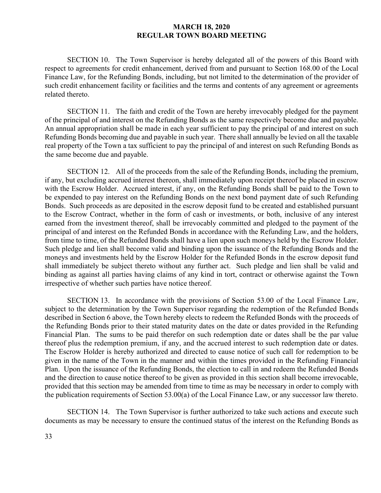SECTION 10. The Town Supervisor is hereby delegated all of the powers of this Board with respect to agreements for credit enhancement, derived from and pursuant to Section 168.00 of the Local Finance Law, for the Refunding Bonds, including, but not limited to the determination of the provider of such credit enhancement facility or facilities and the terms and contents of any agreement or agreements related thereto.

SECTION 11. The faith and credit of the Town are hereby irrevocably pledged for the payment of the principal of and interest on the Refunding Bonds as the same respectively become due and payable. An annual appropriation shall be made in each year sufficient to pay the principal of and interest on such Refunding Bonds becoming due and payable in such year. There shall annually be levied on all the taxable real property of the Town a tax sufficient to pay the principal of and interest on such Refunding Bonds as the same become due and payable.

SECTION 12. All of the proceeds from the sale of the Refunding Bonds, including the premium, if any, but excluding accrued interest thereon, shall immediately upon receipt thereof be placed in escrow with the Escrow Holder. Accrued interest, if any, on the Refunding Bonds shall be paid to the Town to be expended to pay interest on the Refunding Bonds on the next bond payment date of such Refunding Bonds. Such proceeds as are deposited in the escrow deposit fund to be created and established pursuant to the Escrow Contract, whether in the form of cash or investments, or both, inclusive of any interest earned from the investment thereof, shall be irrevocably committed and pledged to the payment of the principal of and interest on the Refunded Bonds in accordance with the Refunding Law, and the holders, from time to time, of the Refunded Bonds shall have a lien upon such moneys held by the Escrow Holder. Such pledge and lien shall become valid and binding upon the issuance of the Refunding Bonds and the moneys and investments held by the Escrow Holder for the Refunded Bonds in the escrow deposit fund shall immediately be subject thereto without any further act. Such pledge and lien shall be valid and binding as against all parties having claims of any kind in tort, contract or otherwise against the Town irrespective of whether such parties have notice thereof.

SECTION 13. In accordance with the provisions of Section 53.00 of the Local Finance Law, subject to the determination by the Town Supervisor regarding the redemption of the Refunded Bonds described in Section 6 above, the Town hereby elects to redeem the Refunded Bonds with the proceeds of the Refunding Bonds prior to their stated maturity dates on the date or dates provided in the Refunding Financial Plan. The sums to be paid therefor on such redemption date or dates shall be the par value thereof plus the redemption premium, if any, and the accrued interest to such redemption date or dates. The Escrow Holder is hereby authorized and directed to cause notice of such call for redemption to be given in the name of the Town in the manner and within the times provided in the Refunding Financial Plan. Upon the issuance of the Refunding Bonds, the election to call in and redeem the Refunded Bonds and the direction to cause notice thereof to be given as provided in this section shall become irrevocable, provided that this section may be amended from time to time as may be necessary in order to comply with the publication requirements of Section 53.00(a) of the Local Finance Law, or any successor law thereto.

SECTION 14. The Town Supervisor is further authorized to take such actions and execute such documents as may be necessary to ensure the continued status of the interest on the Refunding Bonds as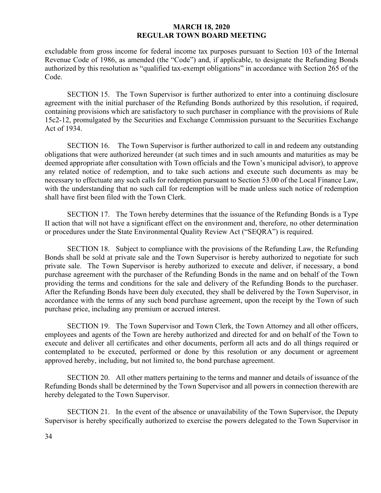excludable from gross income for federal income tax purposes pursuant to Section 103 of the Internal Revenue Code of 1986, as amended (the "Code") and, if applicable, to designate the Refunding Bonds authorized by this resolution as "qualified tax-exempt obligations" in accordance with Section 265 of the Code.

SECTION 15. The Town Supervisor is further authorized to enter into a continuing disclosure agreement with the initial purchaser of the Refunding Bonds authorized by this resolution, if required, containing provisions which are satisfactory to such purchaser in compliance with the provisions of Rule 15c2-12, promulgated by the Securities and Exchange Commission pursuant to the Securities Exchange Act of 1934.

SECTION 16. The Town Supervisor is further authorized to call in and redeem any outstanding obligations that were authorized hereunder (at such times and in such amounts and maturities as may be deemed appropriate after consultation with Town officials and the Town's municipal advisor), to approve any related notice of redemption, and to take such actions and execute such documents as may be necessary to effectuate any such calls for redemption pursuant to Section 53.00 of the Local Finance Law, with the understanding that no such call for redemption will be made unless such notice of redemption shall have first been filed with the Town Clerk.

SECTION 17. The Town hereby determines that the issuance of the Refunding Bonds is a Type II action that will not have a significant effect on the environment and, therefore, no other determination or procedures under the State Environmental Quality Review Act ("SEQRA") is required.

SECTION 18. Subject to compliance with the provisions of the Refunding Law, the Refunding Bonds shall be sold at private sale and the Town Supervisor is hereby authorized to negotiate for such private sale. The Town Supervisor is hereby authorized to execute and deliver, if necessary, a bond purchase agreement with the purchaser of the Refunding Bonds in the name and on behalf of the Town providing the terms and conditions for the sale and delivery of the Refunding Bonds to the purchaser. After the Refunding Bonds have been duly executed, they shall be delivered by the Town Supervisor, in accordance with the terms of any such bond purchase agreement, upon the receipt by the Town of such purchase price, including any premium or accrued interest.

SECTION 19. The Town Supervisor and Town Clerk, the Town Attorney and all other officers, employees and agents of the Town are hereby authorized and directed for and on behalf of the Town to execute and deliver all certificates and other documents, perform all acts and do all things required or contemplated to be executed, performed or done by this resolution or any document or agreement approved hereby, including, but not limited to, the bond purchase agreement.

SECTION 20. All other matters pertaining to the terms and manner and details of issuance of the Refunding Bonds shall be determined by the Town Supervisor and all powers in connection therewith are hereby delegated to the Town Supervisor.

SECTION 21. In the event of the absence or unavailability of the Town Supervisor, the Deputy Supervisor is hereby specifically authorized to exercise the powers delegated to the Town Supervisor in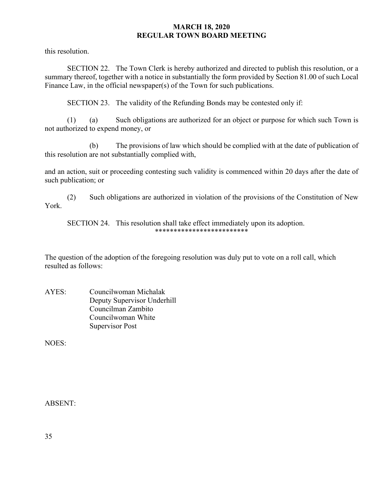this resolution.

SECTION 22. The Town Clerk is hereby authorized and directed to publish this resolution, or a summary thereof, together with a notice in substantially the form provided by Section 81.00 of such Local Finance Law, in the official newspaper(s) of the Town for such publications.

SECTION 23. The validity of the Refunding Bonds may be contested only if:

(1) (a) Such obligations are authorized for an object or purpose for which such Town is not authorized to expend money, or

(b) The provisions of law which should be complied with at the date of publication of this resolution are not substantially complied with,

and an action, suit or proceeding contesting such validity is commenced within 20 days after the date of such publication; or

(2) Such obligations are authorized in violation of the provisions of the Constitution of New York.

SECTION 24. This resolution shall take effect immediately upon its adoption. \*\*\*\*\*\*\*\*\*\*\*\*\*\*\*\*\*\*\*\*\*\*\*\*\*

The question of the adoption of the foregoing resolution was duly put to vote on a roll call, which resulted as follows:

AYES: Councilwoman Michalak Deputy Supervisor Underhill Councilman Zambito Councilwoman White Supervisor Post

NOES:

ABSENT: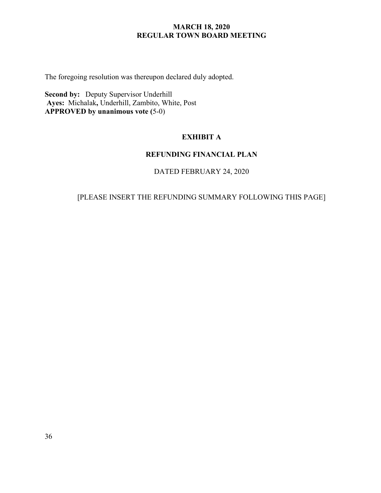The foregoing resolution was thereupon declared duly adopted.

**Second by:** Deputy Supervisor Underhill **Ayes:** Michalak**,** Underhill, Zambito, White, Post **APPROVED by unanimous vote (**5-0)

# **EXHIBIT A**

# **REFUNDING FINANCIAL PLAN**

DATED FEBRUARY 24, 2020

# [PLEASE INSERT THE REFUNDING SUMMARY FOLLOWING THIS PAGE]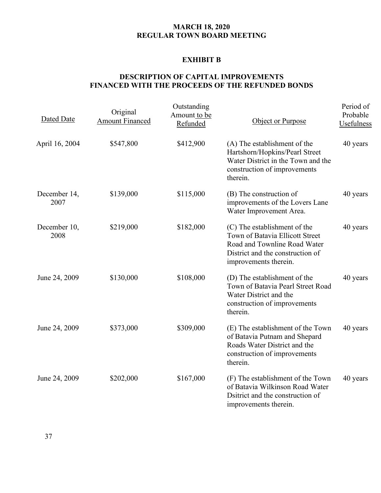# **EXHIBIT B**

# **DESCRIPTION OF CAPITAL IMPROVEMENTS FINANCED WITH THE PROCEEDS OF THE REFUNDED BONDS**

| Dated Date           | Original<br><b>Amount Financed</b> | Outstanding<br>Amount to be<br>Refunded | Object or Purpose                                                                                                                                            | Period of<br>Probable<br>Usefulness |
|----------------------|------------------------------------|-----------------------------------------|--------------------------------------------------------------------------------------------------------------------------------------------------------------|-------------------------------------|
| April 16, 2004       | \$547,800                          | \$412,900                               | (A) The establishment of the<br>Hartshorn/Hopkins/Pearl Street<br>Water District in the Town and the<br>construction of improvements<br>therein.             | 40 years                            |
| December 14,<br>2007 | \$139,000                          | \$115,000                               | (B) The construction of<br>improvements of the Lovers Lane<br>Water Improvement Area.                                                                        | 40 years                            |
| December 10,<br>2008 | \$219,000                          | \$182,000                               | (C) The establishment of the<br>Town of Batavia Ellicott Street<br>Road and Townline Road Water<br>District and the construction of<br>improvements therein. | 40 years                            |
| June 24, 2009        | \$130,000                          | \$108,000                               | (D) The establishment of the<br>Town of Batavia Pearl Street Road<br>Water District and the<br>construction of improvements<br>therein.                      | 40 years                            |
| June 24, 2009        | \$373,000                          | \$309,000                               | (E) The establishment of the Town<br>of Batavia Putnam and Shepard<br>Roads Water District and the<br>construction of improvements<br>therein.               | 40 years                            |
| June 24, 2009        | \$202,000                          | \$167,000                               | (F) The establishment of the Town<br>of Batavia Wilkinson Road Water<br>Dsitrict and the construction of<br>improvements therein.                            | 40 years                            |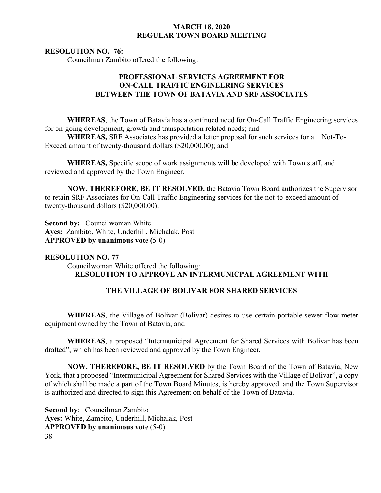## **RESOLUTION NO. 76:**

Councilman Zambito offered the following:

# **PROFESSIONAL SERVICES AGREEMENT FOR ON-CALL TRAFFIC ENGINEERING SERVICES BETWEEN THE TOWN OF BATAVIA AND SRF ASSOCIATES**

**WHEREAS**, the Town of Batavia has a continued need for On-Call Traffic Engineering services for on-going development, growth and transportation related needs; and

**WHEREAS,** SRF Associates has provided a letter proposal for such services for a Not-To-Exceed amount of twenty-thousand dollars (\$20,000.00); and

**WHEREAS,** Specific scope of work assignments will be developed with Town staff, and reviewed and approved by the Town Engineer.

**NOW, THEREFORE, BE IT RESOLVED,** the Batavia Town Board authorizes the Supervisor to retain SRF Associates for On-Call Traffic Engineering services for the not-to-exceed amount of twenty-thousand dollars (\$20,000.00).

**Second by:** Councilwoman White **Ayes:** Zambito, White, Underhill, Michalak, Post **APPROVED by unanimous vote (**5-0)

# **RESOLUTION NO. 77**

 Councilwoman White offered the following: **RESOLUTION TO APPROVE AN INTERMUNICPAL AGREEMENT WITH**

# **THE VILLAGE OF BOLIVAR FOR SHARED SERVICES**

**WHEREAS**, the Village of Bolivar (Bolivar) desires to use certain portable sewer flow meter equipment owned by the Town of Batavia, and

**WHEREAS**, a proposed "Intermunicipal Agreement for Shared Services with Bolivar has been drafted", which has been reviewed and approved by the Town Engineer.

**NOW, THEREFORE, BE IT RESOLVED** by the Town Board of the Town of Batavia, New York, that a proposed "Intermunicipal Agreement for Shared Services with the Village of Bolivar", a copy of which shall be made a part of the Town Board Minutes, is hereby approved, and the Town Supervisor is authorized and directed to sign this Agreement on behalf of the Town of Batavia.

38 **Second by**: Councilman Zambito **Ayes:** White, Zambito, Underhill, Michalak, Post **APPROVED by unanimous vote** (5-0)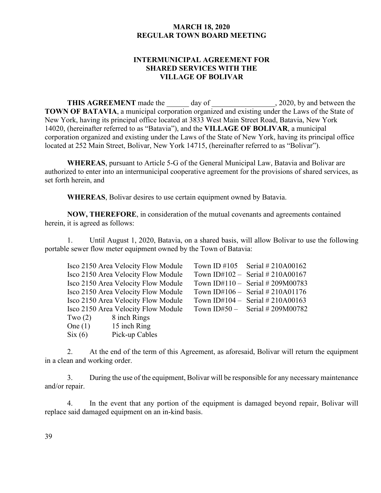# **INTERMUNICIPAL AGREEMENT FOR SHARED SERVICES WITH THE VILLAGE OF BOLIVAR**

**THIS AGREEMENT** made the day of , 2020, by and between the **TOWN OF BATAVIA**, a municipal corporation organized and existing under the Laws of the State of New York, having its principal office located at 3833 West Main Street Road, Batavia, New York 14020, (hereinafter referred to as "Batavia"), and the **VILLAGE OF BOLIVAR**, a municipal corporation organized and existing under the Laws of the State of New York, having its principal office located at 252 Main Street, Bolivar, New York 14715, (hereinafter referred to as "Bolivar").

**WHEREAS**, pursuant to Article 5-G of the General Municipal Law, Batavia and Bolivar are authorized to enter into an intermunicipal cooperative agreement for the provisions of shared services, as set forth herein, and

**WHEREAS**, Bolivar desires to use certain equipment owned by Batavia.

**NOW, THEREFORE**, in consideration of the mutual covenants and agreements contained herein, it is agreed as follows:

1. Until August 1, 2020, Batavia, on a shared basis, will allow Bolivar to use the following portable sewer flow meter equipment owned by the Town of Batavia:

|                        | Isco 2150 Area Velocity Flow Module | Town ID #105 Serial #210A00162   |
|------------------------|-------------------------------------|----------------------------------|
|                        | Isco 2150 Area Velocity Flow Module | Town ID#102 – Serial # 210A00167 |
|                        | Isco 2150 Area Velocity Flow Module | Town ID#110 - Serial #209M00783  |
|                        | Isco 2150 Area Velocity Flow Module | Town ID#106 - Serial # 210A01176 |
|                        | Isco 2150 Area Velocity Flow Module | Town ID#104 – Serial # 210A00163 |
|                        | Isco 2150 Area Velocity Flow Module | Town ID#50 – Serial # 209M00782  |
| $Two(2)$ 8 inch Rings  |                                     |                                  |
| One $(1)$ 15 inch Ring |                                     |                                  |
|                        | $\text{Six}(6)$ Pick-up Cables      |                                  |

2. At the end of the term of this Agreement, as aforesaid, Bolivar will return the equipment in a clean and working order.

3. During the use of the equipment, Bolivar will be responsible for any necessary maintenance and/or repair.

4. In the event that any portion of the equipment is damaged beyond repair, Bolivar will replace said damaged equipment on an in-kind basis.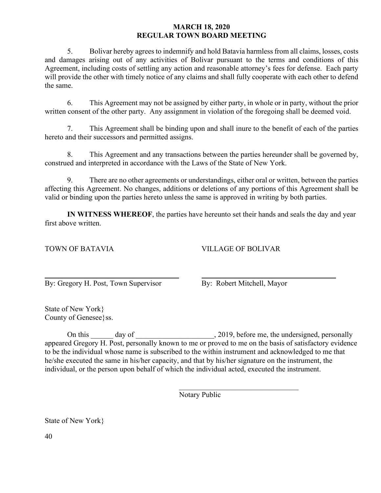5. Bolivar hereby agrees to indemnify and hold Batavia harmless from all claims, losses, costs and damages arising out of any activities of Bolivar pursuant to the terms and conditions of this Agreement, including costs of settling any action and reasonable attorney's fees for defense. Each party will provide the other with timely notice of any claims and shall fully cooperate with each other to defend the same.

6. This Agreement may not be assigned by either party, in whole or in party, without the prior written consent of the other party. Any assignment in violation of the foregoing shall be deemed void.

7. This Agreement shall be binding upon and shall inure to the benefit of each of the parties hereto and their successors and permitted assigns.

8. This Agreement and any transactions between the parties hereunder shall be governed by, construed and interpreted in accordance with the Laws of the State of New York.

9. There are no other agreements or understandings, either oral or written, between the parties affecting this Agreement. No changes, additions or deletions of any portions of this Agreement shall be valid or binding upon the parties hereto unless the same is approved in writing by both parties.

**IN WITNESS WHEREOF**, the parties have hereunto set their hands and seals the day and year first above written.

# TOWN OF BATAVIA VILLAGE OF BOLIVAR

 $\overline{a}$ By: Gregory H. Post, Town Supervisor By: Robert Mitchell, Mayor

 $\overline{\phantom{a}}$ 

State of New York} County of Genesee}ss.

On this \_\_\_\_\_\_ day of \_\_\_\_\_\_\_\_\_\_\_\_\_\_\_\_\_\_\_\_\_, 2019, before me, the undersigned, personally appeared Gregory H. Post, personally known to me or proved to me on the basis of satisfactory evidence to be the individual whose name is subscribed to the within instrument and acknowledged to me that he/she executed the same in his/her capacity, and that by his/her signature on the instrument, the individual, or the person upon behalf of which the individual acted, executed the instrument.

Notary Public

State of New York}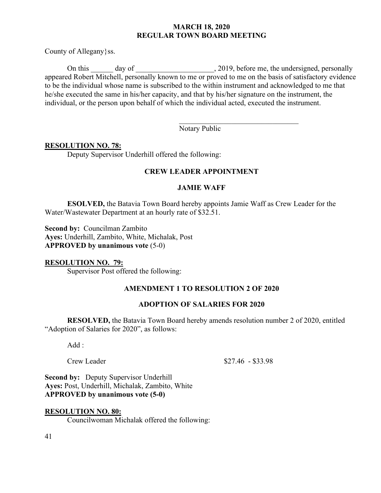County of Allegany}ss.

On this day of day of the contract the undersigned, personally appeared Robert Mitchell, personally known to me or proved to me on the basis of satisfactory evidence to be the individual whose name is subscribed to the within instrument and acknowledged to me that he/she executed the same in his/her capacity, and that by his/her signature on the instrument, the individual, or the person upon behalf of which the individual acted, executed the instrument.

Notary Public

 $\overline{\phantom{a}}$ 

# **RESOLUTION NO. 78:**

Deputy Supervisor Underhill offered the following:

# **CREW LEADER APPOINTMENT**

# **JAMIE WAFF**

**ESOLVED,** the Batavia Town Board hereby appoints Jamie Waff as Crew Leader for the Water/Wastewater Department at an hourly rate of \$32.51.

**Second by:** Councilman Zambito **Ayes:** Underhill, Zambito, White, Michalak, Post **APPROVED by unanimous vote** (5-0)

#### **RESOLUTION NO. 79:**

Supervisor Post offered the following:

# **AMENDMENT 1 TO RESOLUTION 2 OF 2020**

#### **ADOPTION OF SALARIES FOR 2020**

**RESOLVED,** the Batavia Town Board hereby amends resolution number 2 of 2020, entitled "Adoption of Salaries for 2020", as follows:

Add :

Crew Leader  $$27.46 - $33.98$ 

**Second by:** Deputy Supervisor Underhill **Ayes:** Post, Underhill, Michalak, Zambito, White **APPROVED by unanimous vote (5-0)** 

# **RESOLUTION NO. 80:**

Councilwoman Michalak offered the following: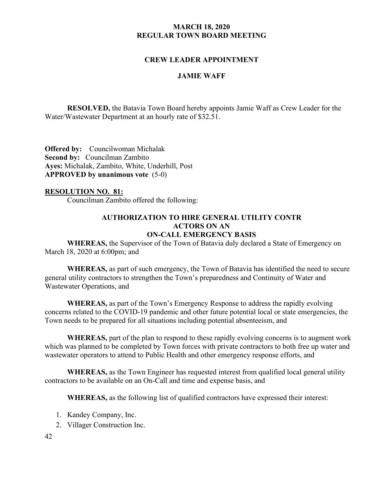# **CREW LEADER APPOINTMENT**

#### **JAMIE WAFF**

**RESOLVED,** the Batavia Town Board hereby appoints Jamie Waff as Crew Leader for the Water/Wastewater Department at an hourly rate of \$32.51.

**Offered by:** Councilwoman Michalak **Second by:** Councilman Zambito **Ayes:** Michalak, Zambito, White, Underhill, Post **APPROVED by unanimous vote** (5-0)

# **RESOLUTION NO. 81:**

Councilman Zambito offered the following:

#### **AUTHORIZATION TO HIRE GENERAL UTILITY CONTR ACTORS ON AN ON-CALL EMERGENCY BASIS**

**WHEREAS,** the Supervisor of the Town of Batavia duly declared a State of Emergency on March 18, 2020 at 6:00pm; and

**WHEREAS,** as part of such emergency, the Town of Batavia has identified the need to secure general utility contractors to strengthen the Town's preparedness and Continuity of Water and Wastewater Operations, and

**WHEREAS,** as part of the Town's Emergency Response to address the rapidly evolving concerns related to the COVID-19 pandemic and other future potential local or state emergencies, the Town needs to be prepared for all situations including potential absenteeism, and

**WHEREAS,** part of the plan to respond to these rapidly evolving concerns is to augment work which was planned to be completed by Town forces with private contractors to both free up water and wastewater operators to attend to Public Health and other emergency response efforts, and

**WHEREAS,** as the Town Engineer has requested interest from qualified local general utility contractors to be available on an On-Call and time and expense basis, and

**WHEREAS,** as the following list of qualified contractors have expressed their interest:

- 1. Kandey Company, Inc.
- 2. Villager Construction Inc.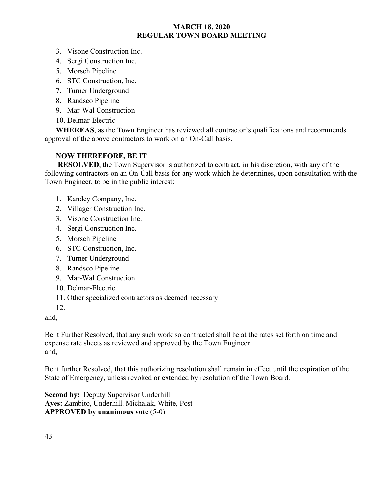- 3. Visone Construction Inc.
- 4. Sergi Construction Inc.
- 5. Morsch Pipeline
- 6. STC Construction, Inc.
- 7. Turner Underground
- 8. Randsco Pipeline
- 9. Mar-Wal Construction
- 10. Delmar-Electric

**WHEREAS**, as the Town Engineer has reviewed all contractor's qualifications and recommends approval of the above contractors to work on an On-Call basis.

# **NOW THEREFORE, BE IT**

**RESOLVED**, the Town Supervisor is authorized to contract, in his discretion, with any of the following contractors on an On-Call basis for any work which he determines, upon consultation with the Town Engineer, to be in the public interest:

- 1. Kandey Company, Inc.
- 2. Villager Construction Inc.
- 3. Visone Construction Inc.
- 4. Sergi Construction Inc.
- 5. Morsch Pipeline
- 6. STC Construction, Inc.
- 7. Turner Underground
- 8. Randsco Pipeline
- 9. Mar-Wal Construction
- 10. Delmar-Electric
- 11. Other specialized contractors as deemed necessary
- 12.

and,

Be it Further Resolved, that any such work so contracted shall be at the rates set forth on time and expense rate sheets as reviewed and approved by the Town Engineer and,

Be it further Resolved, that this authorizing resolution shall remain in effect until the expiration of the State of Emergency, unless revoked or extended by resolution of the Town Board.

**Second by:** Deputy Supervisor Underhill **Ayes:** Zambito, Underhill, Michalak, White, Post **APPROVED by unanimous vote** (5-0)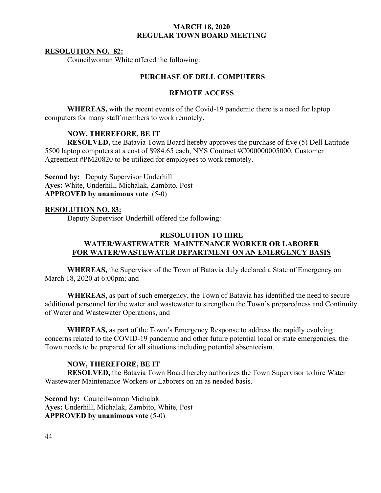#### **RESOLUTION NO. 82:**

Councilwoman White offered the following:

# **PURCHASE OF DELL COMPUTERS**

# **REMOTE ACCESS**

**WHEREAS,** with the recent events of the Covid-19 pandemic there is a need for laptop computers for many staff members to work remotely.

## **NOW, THEREFORE, BE IT**

**RESOLVED,** the Batavia Town Board hereby approves the purchase of five (5) Dell Latitude 5500 laptop computers at a cost of \$984.65 each, NYS Contract #C000000005000, Customer Agreement #PM20820 to be utilized for employees to work remotely.

**Second by:** Deputy Supervisor Underhill **Ayes:** White, Underhill, Michalak, Zambito, Post **APPROVED by unanimous vote** (5-0)

#### **RESOLUTION NO. 83:**

Deputy Supervisor Underhill offered the following:

# **RESOLUTION TO HIRE WATER/WASTEWATER MAINTENANCE WORKER OR LABORER FOR WATER/WASTEWATER DEPARTMENT ON AN EMERGENCY BASIS**

**WHEREAS,** the Supervisor of the Town of Batavia duly declared a State of Emergency on March 18, 2020 at 6:00pm; and

**WHEREAS,** as part of such emergency, the Town of Batavia has identified the need to secure additional personnel for the water and wastewater to strengthen the Town's preparedness and Continuity of Water and Wastewater Operations, and

**WHEREAS,** as part of the Town's Emergency Response to address the rapidly evolving concerns related to the COVID-19 pandemic and other future potential local or state emergencies, the Town needs to be prepared for all situations including potential absenteeism.

#### **NOW, THEREFORE, BE IT**

**RESOLVED,** the Batavia Town Board hereby authorizes the Town Supervisor to hire Water Wastewater Maintenance Workers or Laborers on an as needed basis.

**Second by:** Councilwoman Michalak **Ayes:** Underhill, Michalak, Zambito, White, Post **APPROVED by unanimous vote** (5-0)